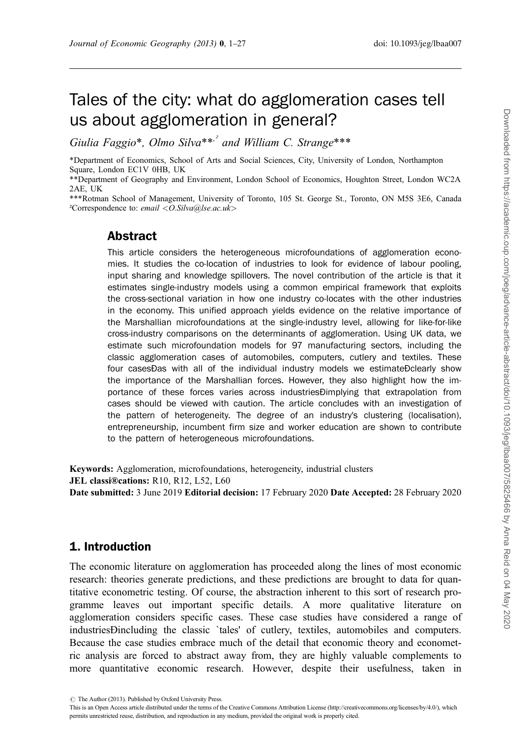# Tales of the city: what do agglomeration cases tell us about agglomeration in general?

Giulia Faggio\*, Olmo Silva\*\*<sup>,2</sup> and William C. Strange\*\*\*

\*Department of Economics, School of Arts and Social Sciences, City, University of London, Northampton Square, London EC1V 0HB, UK

\*\*Department of Geography and Environment, London School of Economics, Houghton Street, London WC2A 2AE, UK

\*\*\*Rotman School of Management, University of Toronto, 105 St. George St., Toronto, ON M5S 3E6, Canada ²Correspondence to: email <O.Silva@lse.ac.uk>

# Abstract

This article considers the heterogeneous microfoundations of agglomeration economies. It studies the co-location of industries to look for evidence of labour pooling, input sharing and knowledge spillovers. The novel contribution of the article is that it estimates single-industry models using a common empirical framework that exploits the cross-sectional variation in how one industry co-locates with the other industries in the economy. This unified approach yields evidence on the relative importance of the Marshallian microfoundations at the single-industry level, allowing for like-for-like cross-industry comparisons on the determinants of agglomeration. Using UK data, we estimate such microfoundation models for 97 manufacturing sectors, including the classic agglomeration cases of automobiles, computers, cutlery and textiles. These four casesÐas with all of the individual industry models we estimateÐclearly show the importance of the Marshallian forces. However, they also highlight how the importance of these forces varies across industriesÐimplying that extrapolation from cases should be viewed with caution. The article concludes with an investigation of the pattern of heterogeneity. The degree of an industry's clustering (localisation), entrepreneurship, incumbent firm size and worker education are shown to contribute to the pattern of heterogeneous microfoundations.

Keywords: Agglomeration, microfoundations, heterogeneity, industrial clusters JEL classi®cations: R10, R12, L52, L60 Date submitted: 3 June 2019 Editorial decision: 17 February 2020 Date Accepted: 28 February 2020

## 1. Introduction

The economic literature on agglomeration has proceeded along the lines of most economic research: theories generate predictions, and these predictions are brought to data for quantitative econometric testing. Of course, the abstraction inherent to this sort of research programme leaves out important specific details. A more qualitative literature on agglomeration considers specific cases. These case studies have considered a range of industriesÐincluding the classic `tales' of cutlery, textiles, automobiles and computers. Because the case studies embrace much of the detail that economic theory and econometric analysis are forced to abstract away from, they are highly valuable complements to more quantitative economic research. However, despite their usefulness, taken in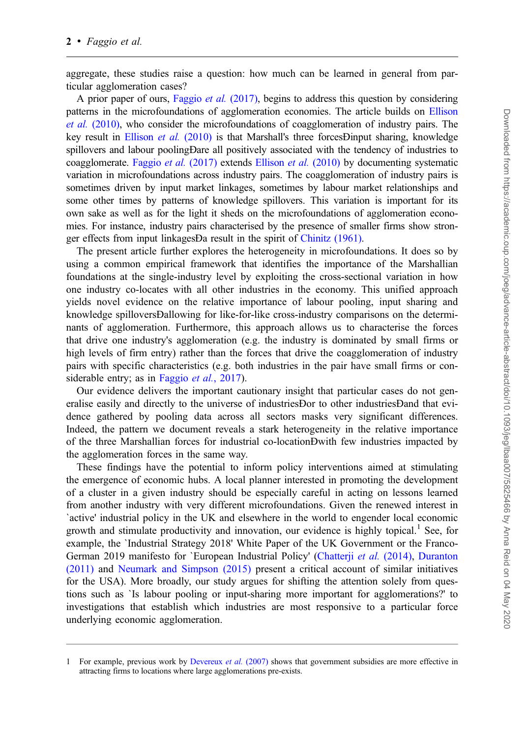aggregate, these studies raise a question: how much can be learned in general from particular agglomeration cases?

A prior paper of ours, [Faggio](#page-24-0) et al. (2017), begins to address this question by considering patterns in the microfoundations of agglomeration economies. The article builds on [Ellison](#page-24-0) et al. [\(2010\),](#page-24-0) who consider the microfoundations of coagglomeration of industry pairs. The key result in [Ellison](#page-24-0) et al. (2010) is that Marshall's three forcesDinput sharing, knowledge spillovers and labour poolingÐare all positively associated with the tendency of industries to coagglomerate. [Faggio](#page-24-0) et al. (2017) extends [Ellison](#page-24-0) et al. (2010) by documenting systematic variation in microfoundations across industry pairs. The coagglomeration of industry pairs is sometimes driven by input market linkages, sometimes by labour market relationships and some other times by patterns of knowledge spillovers. This variation is important for its own sake as well as for the light it sheds on the microfoundations of agglomeration economies. For instance, industry pairs characterised by the presence of smaller firms show stronger effects from input linkagesÐa result in the spirit of [Chinitz \(1961\).](#page-24-0)

The present article further explores the heterogeneity in microfoundations. It does so by using a common empirical framework that identifies the importance of the Marshallian foundations at the single-industry level by exploiting the cross-sectional variation in how one industry co-locates with all other industries in the economy. This unified approach yields novel evidence on the relative importance of labour pooling, input sharing and knowledge spilloversÐallowing for like-for-like cross-industry comparisons on the determinants of agglomeration. Furthermore, this approach allows us to characterise the forces that drive one industry's agglomeration (e.g. the industry is dominated by small firms or high levels of firm entry) rather than the forces that drive the coagglomeration of industry pairs with specific characteristics (e.g. both industries in the pair have small firms or con-siderable entry; as in [Faggio](#page-24-0) *et al.*, 2017).

Our evidence delivers the important cautionary insight that particular cases do not generalise easily and directly to the universe of industriesÐor to other industriesÐand that evidence gathered by pooling data across all sectors masks very significant differences. Indeed, the pattern we document reveals a stark heterogeneity in the relative importance of the three Marshallian forces for industrial co-locationÐwith few industries impacted by the agglomeration forces in the same way.

These findings have the potential to inform policy interventions aimed at stimulating the emergence of economic hubs. A local planner interested in promoting the development of a cluster in a given industry should be especially careful in acting on lessons learned from another industry with very different microfoundations. Given the renewed interest in `active' industrial policy in the UK and elsewhere in the world to engender local economic growth and stimulate productivity and innovation, our evidence is highly topical.<sup>1</sup> See, for example, the `Industrial Strategy 2018' White Paper of the UK Government or the Franco-German 2019 manifesto for `European Industrial Policy' [\(Chatterji](#page-24-0) et al. (2014), [Duranton](#page-24-0) [\(2011\)](#page-24-0) and [Neumark and Simpson \(2015\)](#page-25-0) present a critical account of similar initiatives for the USA). More broadly, our study argues for shifting the attention solely from questions such as `Is labour pooling or input-sharing more important for agglomerations?' to investigations that establish which industries are most responsive to a particular force underlying economic agglomeration.

<sup>1</sup> For example, previous work by [Devereux](#page-24-0) *et al.* (2007) shows that government subsidies are more effective in attracting firms to locations where large agglomerations pre-exists.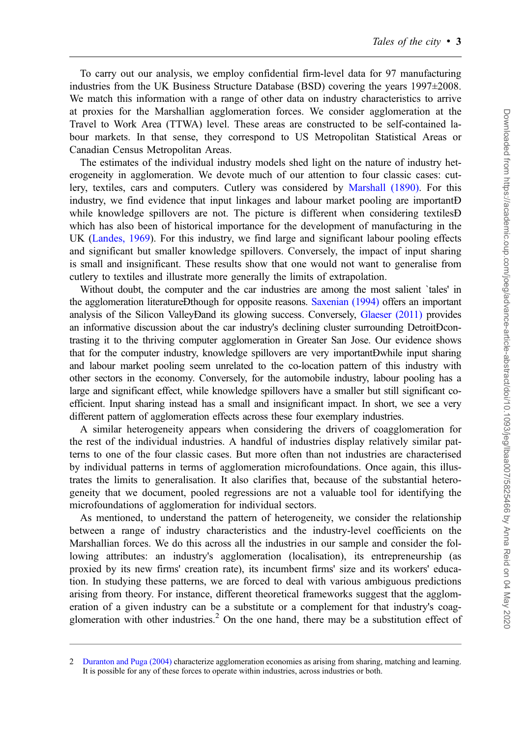To carry out our analysis, we employ confidential firm-level data for 97 manufacturing industries from the UK Business Structure Database (BSD) covering the years 1997±2008. We match this information with a range of other data on industry characteristics to arrive at proxies for the Marshallian agglomeration forces. We consider agglomeration at the Travel to Work Area (TTWA) level. These areas are constructed to be self-contained labour markets. In that sense, they correspond to US Metropolitan Statistical Areas or Canadian Census Metropolitan Areas.

The estimates of the individual industry models shed light on the nature of industry heterogeneity in agglomeration. We devote much of our attention to four classic cases: cutlery, textiles, cars and computers. Cutlery was considered by [Marshall \(1890\)](#page-25-0). For this industry, we find evidence that input linkages and labour market pooling are importantÐ while knowledge spillovers are not. The picture is different when considering textiles **D** which has also been of historical importance for the development of manufacturing in the UK [\(Landes, 1969](#page-25-0)). For this industry, we find large and significant labour pooling effects and significant but smaller knowledge spillovers. Conversely, the impact of input sharing is small and insignificant. These results show that one would not want to generalise from cutlery to textiles and illustrate more generally the limits of extrapolation.

Without doubt, the computer and the car industries are among the most salient `tales' in the agglomeration literatureÐthough for opposite reasons. [Saxenian \(1994\)](#page-25-0) offers an important analysis of the Silicon ValleyÐand its glowing success. Conversely, [Glaeser \(2011\)](#page-24-0) provides an informative discussion about the car industry's declining cluster surrounding DetroitÐcontrasting it to the thriving computer agglomeration in Greater San Jose. Our evidence shows that for the computer industry, knowledge spillovers are very importantÐwhile input sharing and labour market pooling seem unrelated to the co-location pattern of this industry with other sectors in the economy. Conversely, for the automobile industry, labour pooling has a large and significant effect, while knowledge spillovers have a smaller but still significant coefficient. Input sharing instead has a small and insignificant impact. In short, we see a very different pattern of agglomeration effects across these four exemplary industries.

A similar heterogeneity appears when considering the drivers of coagglomeration for the rest of the individual industries. A handful of industries display relatively similar patterns to one of the four classic cases. But more often than not industries are characterised by individual patterns in terms of agglomeration microfoundations. Once again, this illustrates the limits to generalisation. It also clarifies that, because of the substantial heterogeneity that we document, pooled regressions are not a valuable tool for identifying the microfoundations of agglomeration for individual sectors.

As mentioned, to understand the pattern of heterogeneity, we consider the relationship between a range of industry characteristics and the industry-level coefficients on the Marshallian forces. We do this across all the industries in our sample and consider the following attributes: an industry's agglomeration (localisation), its entrepreneurship (as proxied by its new firms' creation rate), its incumbent firms' size and its workers' education. In studying these patterns, we are forced to deal with various ambiguous predictions arising from theory. For instance, different theoretical frameworks suggest that the agglomeration of a given industry can be a substitute or a complement for that industry's coagglomeration with other industries.<sup>2</sup> On the one hand, there may be a substitution effect of

<sup>2</sup> [Duranton and Puga \(2004\)](#page-24-0) characterize agglomeration economies as arising from sharing, matching and learning. It is possible for any of these forces to operate within industries, across industries or both.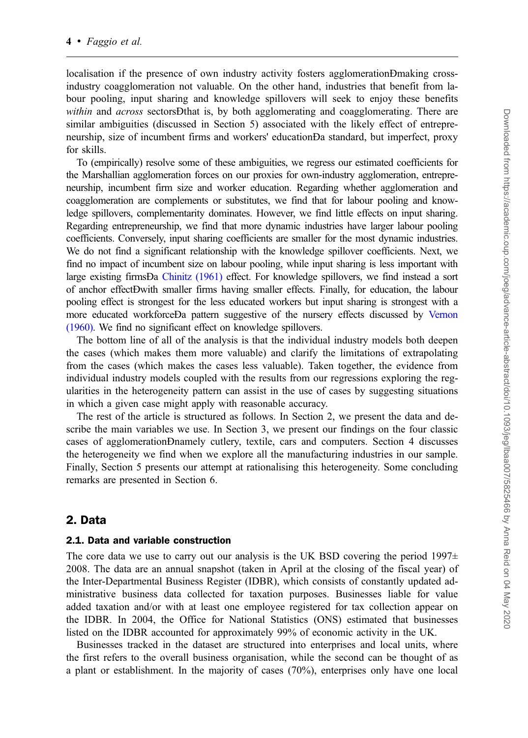localisation if the presence of own industry activity fosters agglomerationÐmaking crossindustry coagglomeration not valuable. On the other hand, industries that benefit from labour pooling, input sharing and knowledge spillovers will seek to enjoy these benefits within and *across* sectorsDthat is, by both agglomerating and coagglomerating. There are similar ambiguities (discussed in Section 5) associated with the likely effect of entrepreneurship, size of incumbent firms and workers' educationÐa standard, but imperfect, proxy for skills.

To (empirically) resolve some of these ambiguities, we regress our estimated coefficients for the Marshallian agglomeration forces on our proxies for own-industry agglomeration, entrepreneurship, incumbent firm size and worker education. Regarding whether agglomeration and coagglomeration are complements or substitutes, we find that for labour pooling and knowledge spillovers, complementarity dominates. However, we find little effects on input sharing. Regarding entrepreneurship, we find that more dynamic industries have larger labour pooling coefficients. Conversely, input sharing coefficients are smaller for the most dynamic industries. We do not find a significant relationship with the knowledge spillover coefficients. Next, we find no impact of incumbent size on labour pooling, while input sharing is less important with large existing firmsÐa [Chinitz \(1961\)](#page-24-0) effect. For knowledge spillovers, we find instead a sort of anchor effectÐwith smaller firms having smaller effects. Finally, for education, the labour pooling effect is strongest for the less educated workers but input sharing is strongest with a more educated workforceÐa pattern suggestive of the nursery effects discussed by [Vernon](#page-25-0) [\(1960\).](#page-25-0) We find no significant effect on knowledge spillovers.

The bottom line of all of the analysis is that the individual industry models both deepen the cases (which makes them more valuable) and clarify the limitations of extrapolating from the cases (which makes the cases less valuable). Taken together, the evidence from individual industry models coupled with the results from our regressions exploring the regularities in the heterogeneity pattern can assist in the use of cases by suggesting situations in which a given case might apply with reasonable accuracy.

The rest of the article is structured as follows. In Section 2, we present the data and describe the main variables we use. In Section 3, we present our findings on the four classic cases of agglomerationÐnamely cutlery, textile, cars and computers. Section 4 discusses the heterogeneity we find when we explore all the manufacturing industries in our sample. Finally, Section 5 presents our attempt at rationalising this heterogeneity. Some concluding remarks are presented in Section 6.

#### 2. Data

#### 2.1. Data and variable construction

The core data we use to carry out our analysis is the UK BSD covering the period  $1997\pm$ 2008. The data are an annual snapshot (taken in April at the closing of the fiscal year) of the Inter-Departmental Business Register (IDBR), which consists of constantly updated administrative business data collected for taxation purposes. Businesses liable for value added taxation and/or with at least one employee registered for tax collection appear on the IDBR. In 2004, the Office for National Statistics (ONS) estimated that businesses listed on the IDBR accounted for approximately 99% of economic activity in the UK.

Businesses tracked in the dataset are structured into enterprises and local units, where the first refers to the overall business organisation, while the second can be thought of as a plant or establishment. In the majority of cases (70%), enterprises only have one local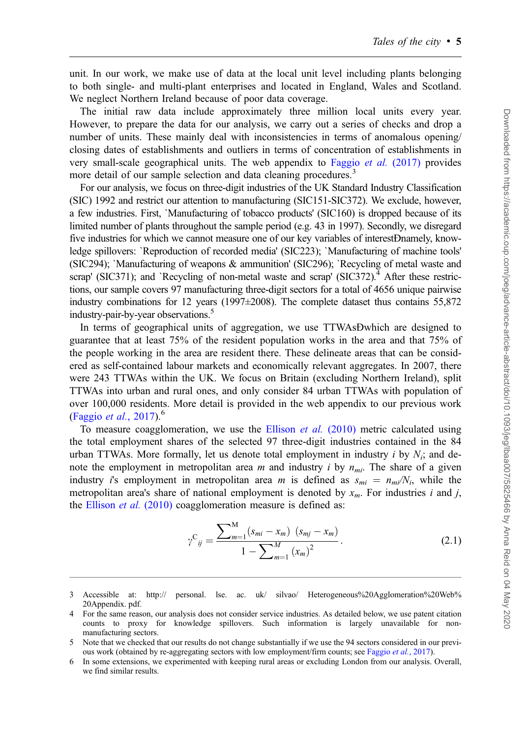unit. In our work, we make use of data at the local unit level including plants belonging to both single- and multi-plant enterprises and located in England, Wales and Scotland. We neglect Northern Ireland because of poor data coverage.

The initial raw data include approximately three million local units every year. However, to prepare the data for our analysis, we carry out a series of checks and drop a number of units. These mainly deal with inconsistencies in terms of anomalous opening/ closing dates of establishments and outliers in terms of concentration of establishments in very small-scale geographical units. The web appendix to [Faggio](#page-24-0) et al. (2017) provides more detail of our sample selection and data cleaning procedures.<sup>3</sup>

For our analysis, we focus on three-digit industries of the UK Standard Industry Classification (SIC) 1992 and restrict our attention to manufacturing (SIC151-SIC372). We exclude, however, a few industries. First, `Manufacturing of tobacco products' (SIC160) is dropped because of its limited number of plants throughout the sample period (e.g. 43 in 1997). Secondly, we disregard five industries for which we cannot measure one of our key variables of interestÐnamely, knowledge spillovers: `Reproduction of recorded media' (SIC223); `Manufacturing of machine tools' (SIC294); `Manufacturing of weapons & ammunition' (SIC296); `Recycling of metal waste and scrap' (SIC371); and `Recycling of non-metal waste and scrap' (SIC372).<sup>4</sup> After these restrictions, our sample covers 97 manufacturing three-digit sectors for a total of 4656 unique pairwise industry combinations for 12 years (1997 $\pm$ 2008). The complete dataset thus contains 55,872 industry-pair-by-year observations.<sup>5</sup>

In terms of geographical units of aggregation, we use TTWAsÐwhich are designed to guarantee that at least 75% of the resident population works in the area and that 75% of the people working in the area are resident there. These delineate areas that can be considered as self-contained labour markets and economically relevant aggregates. In 2007, there were 243 TTWAs within the UK. We focus on Britain (excluding Northern Ireland), split TTWAs into urban and rural ones, and only consider 84 urban TTWAs with population of over 100,000 residents. More detail is provided in the web appendix to our previous work ([Faggio](#page-24-0) *et al.*, 2017).<sup>6</sup>

To measure coagglomeration, we use the [Ellison](#page-24-0) *et al.*  $(2010)$  metric calculated using the total employment shares of the selected 97 three-digit industries contained in the 84 urban TTWAs. More formally, let us denote total employment in industry i by  $N_i$ ; and denote the employment in metropolitan area m and industry i by  $n_{mi}$ . The share of a given industry i's employment in metropolitan area m is defined as  $s_{mi} = n_{mi}/N_i$ , while the metropolitan area's share of national employment is denoted by  $x_m$ . For industries i and j, the [Ellison](#page-24-0) et al. (2010) coagglomeration measure is defined as:

$$
\gamma^{C}_{ij} = \frac{\sum_{m=1}^{M} (s_{mi} - x_m) (s_{mj} - x_m)}{1 - \sum_{m=1}^{M} (x_m)^2}.
$$
\n(2.1)

<sup>3</sup> Accessible at: [http:// personal. lse. ac. uk/ silvao/ Heterogeneous%20Agglomeration%20Web%](http://personal.lse.ac.uk/silvao/Heterogeneous20Agglomeration20Web20Appendix.pdf) [20Appendix. pdf](http://personal.lse.ac.uk/silvao/Heterogeneous20Agglomeration20Web20Appendix.pdf).

<sup>4</sup> For the same reason, our analysis does not consider service industries. As detailed below, we use patent citation counts to proxy for knowledge spillovers. Such information is largely unavailable for nonmanufacturing sectors.

<sup>5</sup> Note that we checked that our results do not change substantially if we use the 94 sectors considered in our previous work (obtained by re-aggregating sectors with low employment/firm counts; see [Faggio](#page-24-0) et al., 2017).

<sup>6</sup> In some extensions, we experimented with keeping rural areas or excluding London from our analysis. Overall, we find similar results.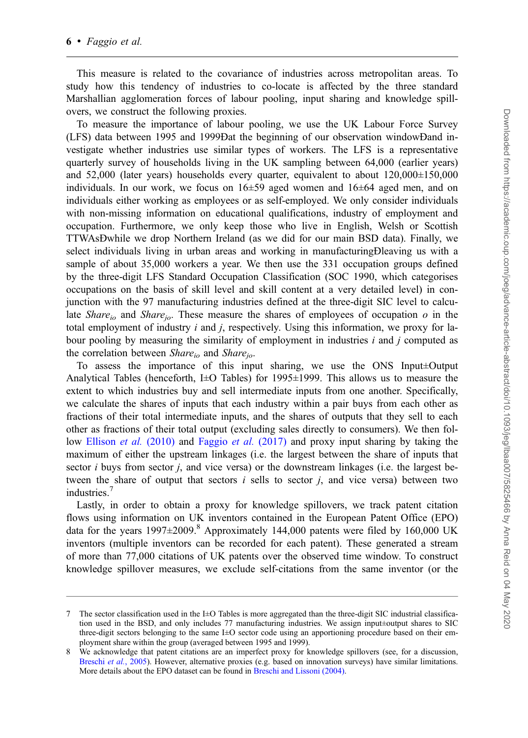This measure is related to the covariance of industries across metropolitan areas. To study how this tendency of industries to co-locate is affected by the three standard Marshallian agglomeration forces of labour pooling, input sharing and knowledge spillovers, we construct the following proxies.

To measure the importance of labour pooling, we use the UK Labour Force Survey (LFS) data between 1995 and 1999Ðat the beginning of our observation windowÐand investigate whether industries use similar types of workers. The LFS is a representative quarterly survey of households living in the UK sampling between 64,000 (earlier years) and 52,000 (later years) households every quarter, equivalent to about 120,000±150,000 individuals. In our work, we focus on  $16\pm59$  aged women and  $16\pm64$  aged men, and on individuals either working as employees or as self-employed. We only consider individuals with non-missing information on educational qualifications, industry of employment and occupation. Furthermore, we only keep those who live in English, Welsh or Scottish TTWAsÐwhile we drop Northern Ireland (as we did for our main BSD data). Finally, we select individuals living in urban areas and working in manufacturingÐleaving us with a sample of about 35,000 workers a year. We then use the 331 occupation groups defined by the three-digit LFS Standard Occupation Classification (SOC 1990, which categorises occupations on the basis of skill level and skill content at a very detailed level) in conjunction with the 97 manufacturing industries defined at the three-digit SIC level to calculate *Share<sub>io</sub>* and *Share<sub>io</sub>*. These measure the shares of employees of occupation o in the total employment of industry  $i$  and  $j$ , respectively. Using this information, we proxy for labour pooling by measuring the similarity of employment in industries  $i$  and  $j$  computed as the correlation between  $Share_{io}$  and  $Share_{io}$ .

To assess the importance of this input sharing, we use the ONS Input±Output Analytical Tables (henceforth, I $\pm$ O Tables) for 1995 $\pm$ 1999. This allows us to measure the extent to which industries buy and sell intermediate inputs from one another. Specifically, we calculate the shares of inputs that each industry within a pair buys from each other as fractions of their total intermediate inputs, and the shares of outputs that they sell to each other as fractions of their total output (excluding sales directly to consumers). We then fol-low [Ellison](#page-24-0) *et al.* (2010) and [Faggio](#page-24-0) *et al.* (2017) and proxy input sharing by taking the maximum of either the upstream linkages (i.e. the largest between the share of inputs that sector  $i$  buys from sector  $j$ , and vice versa) or the downstream linkages (i.e. the largest between the share of output that sectors  $i$  sells to sector  $j$ , and vice versa) between two industries.<sup>7</sup>

Lastly, in order to obtain a proxy for knowledge spillovers, we track patent citation flows using information on UK inventors contained in the European Patent Office (EPO) data for the years  $1997\pm2009$ .<sup>8</sup> Approximately 144,000 patents were filed by 160,000 UK inventors (multiple inventors can be recorded for each patent). These generated a stream of more than 77,000 citations of UK patents over the observed time window. To construct knowledge spillover measures, we exclude self-citations from the same inventor (or the

<sup>7</sup> The sector classification used in the I±O Tables is more aggregated than the three-digit SIC industrial classification used in the BSD, and only includes 77 manufacturing industries. We assign input±output shares to SIC three-digit sectors belonging to the same I±O sector code using an apportioning procedure based on their employment share within the group (averaged between 1995 and 1999).

<sup>8</sup> We acknowledge that patent citations are an imperfect proxy for knowledge spillovers (see, for a discussion, [Breschi](#page-24-0) et al., 2005). However, alternative proxies (e.g. based on innovation surveys) have similar limitations. More details about the EPO dataset can be found in [Breschi and Lissoni \(2004\).](#page-24-0)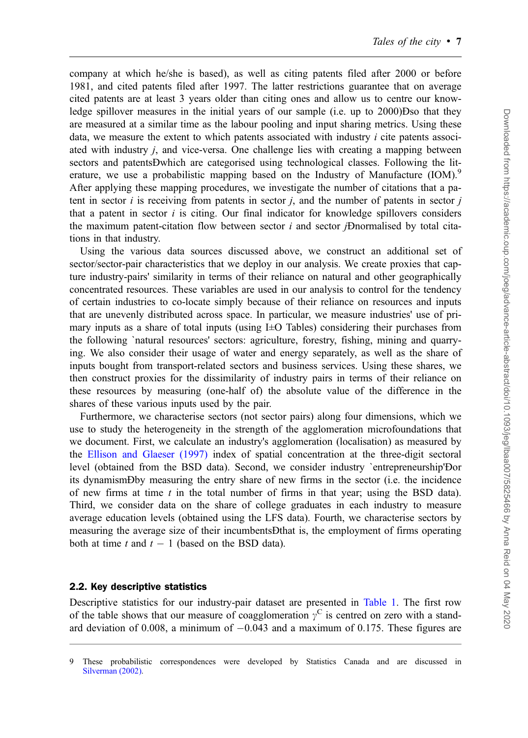company at which he/she is based), as well as citing patents filed after 2000 or before 1981, and cited patents filed after 1997. The latter restrictions guarantee that on average cited patents are at least 3 years older than citing ones and allow us to centre our knowledge spillover measures in the initial years of our sample (i.e. up to 2000)Dso that they are measured at a similar time as the labour pooling and input sharing metrics. Using these data, we measure the extent to which patents associated with industry  $i$  cite patents associated with industry  $i$ , and vice-versa. One challenge lies with creating a mapping between sectors and patentsÐwhich are categorised using technological classes. Following the literature, we use a probabilistic mapping based on the Industry of Manufacture (IOM).<sup>9</sup> After applying these mapping procedures, we investigate the number of citations that a patent in sector  $i$  is receiving from patents in sector  $j$ , and the number of patents in sector  $j$ that a patent in sector  $i$  is citing. Our final indicator for knowledge spillovers considers the maximum patent-citation flow between sector  $i$  and sector  $j$ -Dnormalised by total citations in that industry.

Using the various data sources discussed above, we construct an additional set of sector/sector-pair characteristics that we deploy in our analysis. We create proxies that capture industry-pairs' similarity in terms of their reliance on natural and other geographically concentrated resources. These variables are used in our analysis to control for the tendency of certain industries to co-locate simply because of their reliance on resources and inputs that are unevenly distributed across space. In particular, we measure industries' use of primary inputs as a share of total inputs (using I±O Tables) considering their purchases from the following `natural resources' sectors: agriculture, forestry, fishing, mining and quarrying. We also consider their usage of water and energy separately, as well as the share of inputs bought from transport-related sectors and business services. Using these shares, we then construct proxies for the dissimilarity of industry pairs in terms of their reliance on these resources by measuring (one-half of) the absolute value of the difference in the shares of these various inputs used by the pair.

Furthermore, we characterise sectors (not sector pairs) along four dimensions, which we use to study the heterogeneity in the strength of the agglomeration microfoundations that we document. First, we calculate an industry's agglomeration (localisation) as measured by the [Ellison and Glaeser \(1997\)](#page-24-0) index of spatial concentration at the three-digit sectoral level (obtained from the BSD data). Second, we consider industry `entrepreneurship'Ðor its dynamismÐby measuring the entry share of new firms in the sector (i.e. the incidence of new firms at time  $t$  in the total number of firms in that year; using the BSD data). Third, we consider data on the share of college graduates in each industry to measure average education levels (obtained using the LFS data). Fourth, we characterise sectors by measuring the average size of their incumbentsÐthat is, the employment of firms operating both at time t and  $t - 1$  (based on the BSD data).

#### 2.2. Key descriptive statistics

Descriptive statistics for our industry-pair dataset are presented in [Table 1.](#page-7-0) The first row of the table shows that our measure of coagglomeration  $\gamma^C$  is centred on zero with a standard deviation of 0.008, a minimum of  $-0.043$  and a maximum of 0.175. These figures are

<sup>9</sup> These probabilistic correspondences were developed by Statistics Canada and are discussed in [Silverman \(2002\).](#page-25-0)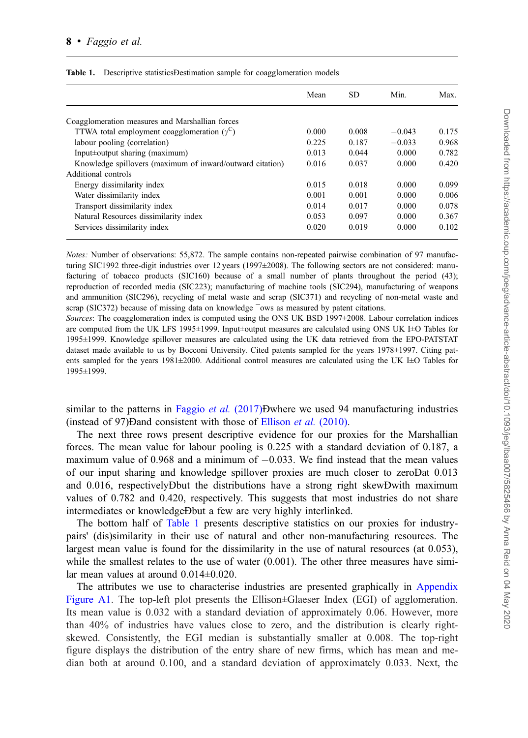| Mean  | SD    | Min.     | Max.     |
|-------|-------|----------|----------|
|       |       |          |          |
|       |       |          |          |
|       |       |          | 0.175    |
| 0.225 | 0.187 | $-0.033$ | 0.968    |
| 0.013 | 0.044 | 0.000    | 0.782    |
| 0.016 | 0.037 | 0.000    | 0.420    |
|       |       |          |          |
| 0.015 | 0.018 | 0.000    | 0.099    |
| 0.001 | 0.001 | 0.000    | 0.006    |
| 0.014 | 0.017 | 0.000    | 0.078    |
| 0.053 | 0.097 | 0.000    | 0.367    |
| 0.020 | 0.019 | 0.000    | 0.102    |
|       | 0.000 | 0.008    | $-0.043$ |

#### <span id="page-7-0"></span>Table 1. Descriptive statisticsDestimation sample for coagglomeration models

Notes: Number of observations: 55,872. The sample contains non-repeated pairwise combination of 97 manufacturing SIC1992 three-digit industries over 12 years (1997 $\pm$ 2008). The following sectors are not considered: manufacturing of tobacco products (SIC160) because of a small number of plants throughout the period (43); reproduction of recorded media (SIC223); manufacturing of machine tools (SIC294), manufacturing of weapons and ammunition (SIC296), recycling of metal waste and scrap (SIC371) and recycling of non-metal waste and scrap (SIC372) because of missing data on knowledge  $\overline{\ }$ ows as measured by patent citations.

Sources: The coagglomeration index is computed using the ONS UK BSD 1997±2008. Labour correlation indices are computed from the UK LFS 1995±1999. Input±output measures are calculated using ONS UK I±O Tables for 1995±1999. Knowledge spillover measures are calculated using the UK data retrieved from the EPO-PATSTAT dataset made available to us by Bocconi University. Cited patents sampled for the years 1978±1997. Citing patents sampled for the years 1981±2000. Additional control measures are calculated using the UK I±O Tables for 1995±1999.

similar to the patterns in [Faggio](#page-24-0) *et al.* (2017)Ðwhere we used 94 manufacturing industries (instead of 97)Ðand consistent with those of [Ellison](#page-24-0) et al. (2010).

The next three rows present descriptive evidence for our proxies for the Marshallian forces. The mean value for labour pooling is 0.225 with a standard deviation of 0.187, a maximum value of 0.968 and a minimum of  $-0.033$ . We find instead that the mean values of our input sharing and knowledge spillover proxies are much closer to zeroÐat 0.013 and 0.016, respectivelyÐbut the distributions have a strong right skewÐwith maximum values of 0.782 and 0.420, respectively. This suggests that most industries do not share intermediates or knowledgeÐbut a few are very highly interlinked.

The bottom half of Table 1 presents descriptive statistics on our proxies for industrypairs' (dis)similarity in their use of natural and other non-manufacturing resources. The largest mean value is found for the dissimilarity in the use of natural resources (at 0.053), while the smallest relates to the use of water (0.001). The other three measures have similar mean values at around 0.014±0.020.

The attributes we use to characterise industries are presented graphically in [Appendix](https://academic.oup.com/joeg/article-lookup/doi/10.1093/jeg/lbaa007#supplementary-data) [Figure A1.](https://academic.oup.com/joeg/article-lookup/doi/10.1093/jeg/lbaa007#supplementary-data) The top-left plot presents the Ellison±Glaeser Index (EGI) of agglomeration. Its mean value is 0.032 with a standard deviation of approximately 0.06. However, more than 40% of industries have values close to zero, and the distribution is clearly rightskewed. Consistently, the EGI median is substantially smaller at 0.008. The top-right figure displays the distribution of the entry share of new firms, which has mean and median both at around 0.100, and a standard deviation of approximately 0.033. Next, the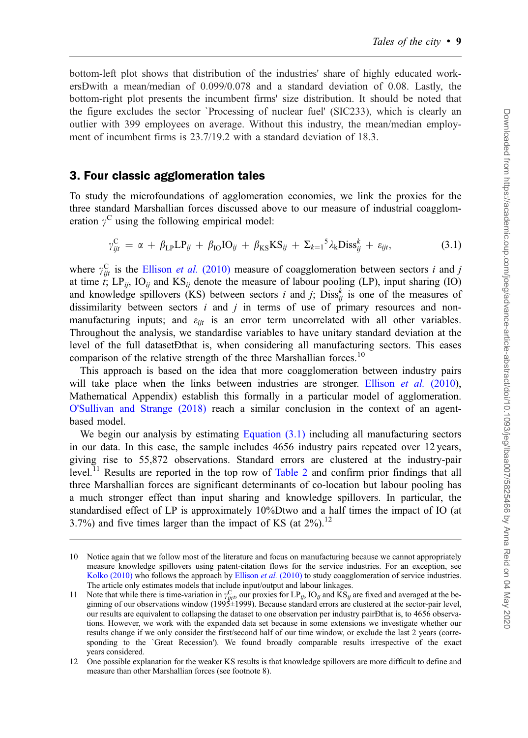<span id="page-8-0"></span>bottom-left plot shows that distribution of the industries' share of highly educated workersÐwith a mean/median of 0.099/0.078 and a standard deviation of 0.08. Lastly, the bottom-right plot presents the incumbent firms' size distribution. It should be noted that the figure excludes the sector `Processing of nuclear fuel' (SIC233), which is clearly an outlier with 399 employees on average. Without this industry, the mean/median employment of incumbent firms is 23.7/19.2 with a standard deviation of 18.3.

### 3. Four classic agglomeration tales

To study the microfoundations of agglomeration economies, we link the proxies for the three standard Marshallian forces discussed above to our measure of industrial coagglomeration  $\gamma^C$  using the following empirical model:

$$
\gamma_{ijt}^C = \alpha + \beta_{LP}LP_{ij} + \beta_{IO} IO_{ij} + \beta_{KS} KS_{ij} + \Sigma_{k=1}^5 \lambda_k Diss_{ij}^k + \varepsilon_{ijt}, \qquad (3.1)
$$

where  $\gamma_{ijt}^C$  is the [Ellison](#page-24-0) *et al.* (2010) measure of coagglomeration between sectors *i* and *j* at time t;  $LP_{ij}$ ,  $IO_{ij}$  and  $KS_{ij}$  denote the measure of labour pooling (LP), input sharing (IO) and knowledge spillovers (KS) between sectors *i* and *j*;  $\text{Diss}_{ij}^k$  is one of the measures of dissimilarity between sectors  $i$  and  $j$  in terms of use of primary resources and nonmanufacturing inputs; and  $\varepsilon_{ijt}$  is an error term uncorrelated with all other variables. Throughout the analysis, we standardise variables to have unitary standard deviation at the level of the full datasetÐthat is, when considering all manufacturing sectors. This eases comparison of the relative strength of the three Marshallian forces.<sup>10</sup>

This approach is based on the idea that more coagglomeration between industry pairs will take place when the links between industries are stronger. [Ellison](#page-24-0) *et al.* (2010), Mathematical Appendix) establish this formally in a particular model of agglomeration. [O'Sullivan and Strange \(2018\)](#page-25-0) reach a similar conclusion in the context of an agentbased model.

We begin our analysis by estimating Equation  $(3.1)$  including all manufacturing sectors in our data. In this case, the sample includes 4656 industry pairs repeated over 12 years, giving rise to 55,872 observations. Standard errors are clustered at the industry-pair level.<sup>11</sup> Results are reported in the top row of [Table 2](#page-10-0) and confirm prior findings that all three Marshallian forces are significant determinants of co-location but labour pooling has a much stronger effect than input sharing and knowledge spillovers. In particular, the standardised effect of LP is approximately 10%Ðtwo and a half times the impact of IO (at 3.7%) and five times larger than the impact of KS (at  $2\%$ ).<sup>12</sup>

<sup>10</sup> Notice again that we follow most of the literature and focus on manufacturing because we cannot appropriately measure knowledge spillovers using patent-citation flows for the service industries. For an exception, see [Kolko \(2010\)](#page-25-0) who follows the approach by [Ellison](#page-24-0) *et al.* (2010) to study coagglomeration of service industries. The article only estimates models that include input/output and labour linkages.

<sup>11</sup> Note that while there is time-variation in  $\gamma_{ijt}^C$ , our proxies for LP<sub>ij</sub>, IO<sub>ij</sub> and KS<sub>ij</sub> are fixed and averaged at the beginning of our observations window (1995±1999). Because standard errors are clustered at the sector-pair level, our results are equivalent to collapsing the dataset to one observation per industry pairÐthat is, to 4656 observations. However, we work with the expanded data set because in some extensions we investigate whether our results change if we only consider the first/second half of our time window, or exclude the last 2 years (corresponding to the `Great Recession'). We found broadly comparable results irrespective of the exact years considered.

<sup>12</sup> One possible explanation for the weaker KS results is that knowledge spillovers are more difficult to define and measure than other Marshallian forces (see footnote 8).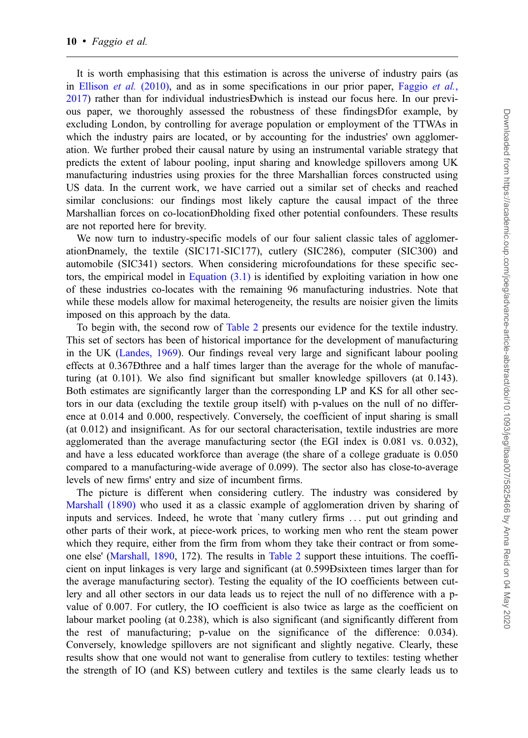It is worth emphasising that this estimation is across the universe of industry pairs (as in [Ellison](#page-24-0) *et al.* (2010), and as in some specifications in our prior paper, [Faggio](#page-24-0) *et al.*, [2017\)](#page-24-0) rather than for individual industriesÐwhich is instead our focus here. In our previous paper, we thoroughly assessed the robustness of these findingsÐfor example, by excluding London, by controlling for average population or employment of the TTWAs in which the industry pairs are located, or by accounting for the industries' own agglomeration. We further probed their causal nature by using an instrumental variable strategy that predicts the extent of labour pooling, input sharing and knowledge spillovers among UK manufacturing industries using proxies for the three Marshallian forces constructed using US data. In the current work, we have carried out a similar set of checks and reached similar conclusions: our findings most likely capture the causal impact of the three Marshallian forces on co-locationÐholding fixed other potential confounders. These results are not reported here for brevity.

We now turn to industry-specific models of our four salient classic tales of agglomerationÐnamely, the textile (SIC171-SIC177), cutlery (SIC286), computer (SIC300) and automobile (SIC341) sectors. When considering microfoundations for these specific sectors, the empirical model in Equation  $(3.1)$  is identified by exploiting variation in how one of these industries co-locates with the remaining 96 manufacturing industries. Note that while these models allow for maximal heterogeneity, the results are noisier given the limits imposed on this approach by the data.

To begin with, the second row of [Table 2](#page-10-0) presents our evidence for the textile industry. This set of sectors has been of historical importance for the development of manufacturing in the UK ([Landes, 1969](#page-25-0)). Our findings reveal very large and significant labour pooling effects at 0.367Ðthree and a half times larger than the average for the whole of manufacturing (at 0.101). We also find significant but smaller knowledge spillovers (at 0.143). Both estimates are significantly larger than the corresponding LP and KS for all other sectors in our data (excluding the textile group itself) with p-values on the null of no difference at 0.014 and 0.000, respectively. Conversely, the coefficient of input sharing is small (at 0.012) and insignificant. As for our sectoral characterisation, textile industries are more agglomerated than the average manufacturing sector (the EGI index is 0.081 vs. 0.032), and have a less educated workforce than average (the share of a college graduate is 0.050 compared to a manufacturing-wide average of 0.099). The sector also has close-to-average levels of new firms' entry and size of incumbent firms.

The picture is different when considering cutlery. The industry was considered by [Marshall \(1890\)](#page-25-0) who used it as a classic example of agglomeration driven by sharing of inputs and services. Indeed, he wrote that `many cutlery firms ... put out grinding and other parts of their work, at piece-work prices, to working men who rent the steam power which they require, either from the firm from whom they take their contract or from someone else' [\(Marshall, 1890](#page-25-0), 172). The results in [Table 2](#page-10-0) support these intuitions. The coefficient on input linkages is very large and significant (at 0.599Ðsixteen times larger than for the average manufacturing sector). Testing the equality of the IO coefficients between cutlery and all other sectors in our data leads us to reject the null of no difference with a pvalue of 0.007. For cutlery, the IO coefficient is also twice as large as the coefficient on labour market pooling (at 0.238), which is also significant (and significantly different from the rest of manufacturing; p-value on the significance of the difference: 0.034). Conversely, knowledge spillovers are not significant and slightly negative. Clearly, these results show that one would not want to generalise from cutlery to textiles: testing whether the strength of IO (and KS) between cutlery and textiles is the same clearly leads us to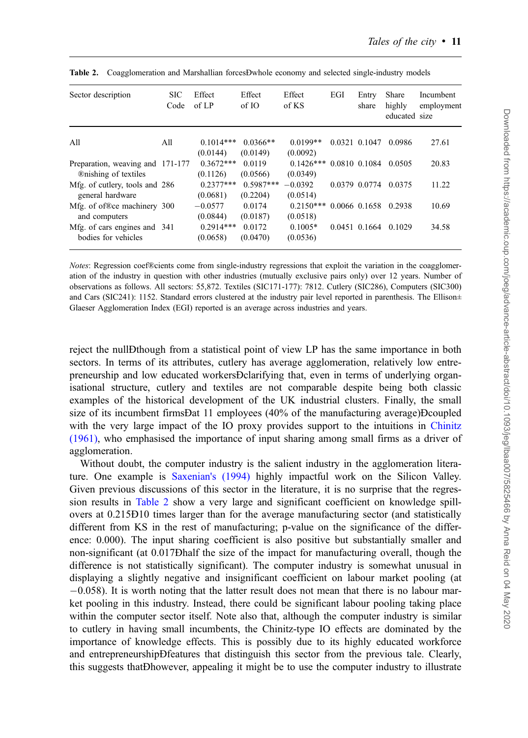| Sector description                                 | <b>SIC</b><br>Code | Effect<br>of $LP$       | Effect<br>of IO         | Effect<br>of KS       | EGI           | Entry<br>share | Share<br>highly<br>educated size | Incumbent<br>employment |
|----------------------------------------------------|--------------------|-------------------------|-------------------------|-----------------------|---------------|----------------|----------------------------------|-------------------------|
| A11                                                | All                | $0.1014***$             | $0.0366**$              | $0.0199**$            |               | 0.0321 0.1047  | 0.0986                           | 27.61                   |
|                                                    |                    | (0.0144)                | (0.0149)                | (0.0092)              |               |                |                                  |                         |
| Preparation, weaving and 171-177                   |                    | $0.3672***$             | 0.0119                  | $0.1426***$           |               | 0.0810 0.1084  | 0.0505                           | 20.83                   |
| <b>®</b> mishing of textiles                       |                    | (0.1126)<br>$0.2377***$ | (0.0566)<br>$0.5987***$ | (0.0349)<br>$-0.0392$ |               |                | 0.0375                           |                         |
| Mfg. of cutlery, tools and 286<br>general hardware |                    | (0.0681)                | (0.2204)                | (0.0514)              | 0.0379 0.0774 |                | 11.22                            |                         |
| Mfg. of of®ce machinery 300                        |                    | $-0.0577$               | 0.0174                  | $0.2150***$           |               | 0.0066 0.1658  | 0.2938                           | 10.69                   |
| and computers                                      |                    | (0.0844)                | (0.0187)                | (0.0518)              |               |                |                                  |                         |
| Mfg. of cars engines and 341                       |                    | $0.2914***$             | 0.0172                  | $0.1005*$             |               | 0.0451 0.1664  | 0.1029                           | 34.58                   |
| bodies for vehicles                                |                    | (0.0658)                | (0.0470)                | (0.0536)              |               |                |                                  |                         |

<span id="page-10-0"></span>Table 2. Coagglomeration and Marshallian forcesĐwhole economy and selected single-industry models

Notes: Regression coef®cients come from single-industry regressions that exploit the variation in the coagglomeration of the industry in question with other industries (mutually exclusive pairs only) over 12 years. Number of observations as follows. All sectors: 55,872. Textiles (SIC171-177): 7812. Cutlery (SIC286), Computers (SIC300) and Cars (SIC241): 1152. Standard errors clustered at the industry pair level reported in parenthesis. The Ellison $\pm$ Glaeser Agglomeration Index (EGI) reported is an average across industries and years.

reject the nullÐthough from a statistical point of view LP has the same importance in both sectors. In terms of its attributes, cutlery has average agglomeration, relatively low entrepreneurship and low educated workersÐclarifying that, even in terms of underlying organisational structure, cutlery and textiles are not comparable despite being both classic examples of the historical development of the UK industrial clusters. Finally, the small size of its incumbent firmsÐat 11 employees (40% of the manufacturing average)Ðcoupled with the very large impact of the IO proxy provides support to the intuitions in [Chinitz](#page-24-0) [\(1961\)](#page-24-0), who emphasised the importance of input sharing among small firms as a driver of agglomeration.

Without doubt, the computer industry is the salient industry in the agglomeration literature. One example is [Saxenian's \(1994\)](#page-25-0) highly impactful work on the Silicon Valley. Given previous discussions of this sector in the literature, it is no surprise that the regression results in Table 2 show a very large and significant coefficient on knowledge spillovers at 0.215Ð10 times larger than for the average manufacturing sector (and statistically different from KS in the rest of manufacturing; p-value on the significance of the difference: 0.000). The input sharing coefficient is also positive but substantially smaller and non-significant (at 0.017Ðhalf the size of the impact for manufacturing overall, though the difference is not statistically significant). The computer industry is somewhat unusual in displaying a slightly negative and insignificant coefficient on labour market pooling (at  $-0.058$ ). It is worth noting that the latter result does not mean that there is no labour market pooling in this industry. Instead, there could be significant labour pooling taking place within the computer sector itself. Note also that, although the computer industry is similar to cutlery in having small incumbents, the Chinitz-type IO effects are dominated by the importance of knowledge effects. This is possibly due to its highly educated workforce and entrepreneurshipÐfeatures that distinguish this sector from the previous tale. Clearly, this suggests thatÐhowever, appealing it might be to use the computer industry to illustrate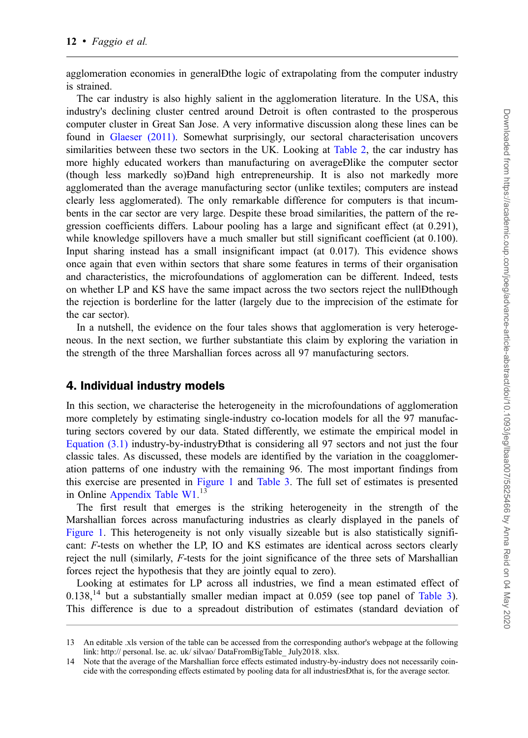agglomeration economies in generalÐthe logic of extrapolating from the computer industry is strained.

The car industry is also highly salient in the agglomeration literature. In the USA, this industry's declining cluster centred around Detroit is often contrasted to the prosperous computer cluster in Great San Jose. A very informative discussion along these lines can be found in [Glaeser \(2011\).](#page-24-0) Somewhat surprisingly, our sectoral characterisation uncovers similarities between these two sectors in the UK. Looking at [Table 2](#page-10-0), the car industry has more highly educated workers than manufacturing on averageÐlike the computer sector (though less markedly so)Ðand high entrepreneurship. It is also not markedly more agglomerated than the average manufacturing sector (unlike textiles; computers are instead clearly less agglomerated). The only remarkable difference for computers is that incumbents in the car sector are very large. Despite these broad similarities, the pattern of the regression coefficients differs. Labour pooling has a large and significant effect (at 0.291), while knowledge spillovers have a much smaller but still significant coefficient (at 0.100). Input sharing instead has a small insignificant impact (at 0.017). This evidence shows once again that even within sectors that share some features in terms of their organisation and characteristics, the microfoundations of agglomeration can be different. Indeed, tests on whether LP and KS have the same impact across the two sectors reject the nullÐthough the rejection is borderline for the latter (largely due to the imprecision of the estimate for the car sector).

In a nutshell, the evidence on the four tales shows that agglomeration is very heterogeneous. In the next section, we further substantiate this claim by exploring the variation in the strength of the three Marshallian forces across all 97 manufacturing sectors.

### 4. Individual industry models

In this section, we characterise the heterogeneity in the microfoundations of agglomeration more completely by estimating single-industry co-location models for all the 97 manufacturing sectors covered by our data. Stated differently, we estimate the empirical model in [Equation \(3.1\)](#page-8-0) industry-by-industryÐthat is considering all 97 sectors and not just the four classic tales. As discussed, these models are identified by the variation in the coagglomeration patterns of one industry with the remaining 96. The most important findings from this exercise are presented in [Figure 1](#page-12-0) and [Table 3.](#page-13-0) The full set of estimates is presented in Online [Appendix Table W1](https://academic.oup.com/joeg/article-lookup/doi/10.1093/jeg/lbaa007#supplementary-data).<sup>13</sup>

The first result that emerges is the striking heterogeneity in the strength of the Marshallian forces across manufacturing industries as clearly displayed in the panels of [Figure 1.](#page-12-0) This heterogeneity is not only visually sizeable but is also statistically significant: F-tests on whether the LP, IO and KS estimates are identical across sectors clearly reject the null (similarly, F-tests for the joint significance of the three sets of Marshallian forces reject the hypothesis that they are jointly equal to zero).

Looking at estimates for LP across all industries, we find a mean estimated effect of  $0.138$ ,<sup>14</sup> but a substantially smaller median impact at 0.059 (see top panel of [Table 3](#page-13-0)). This difference is due to a spreadout distribution of estimates (standard deviation of

<sup>13</sup> An editable .xls version of the table can be accessed from the corresponding author's webpage at the following link: http:// personal. lse. ac. uk/ silvao/ DataFromBigTable July2018. xlsx.

<sup>14</sup> Note that the average of the Marshallian force effects estimated industry-by-industry does not necessarily coincide with the corresponding effects estimated by pooling data for all industriesÐthat is, for the average sector.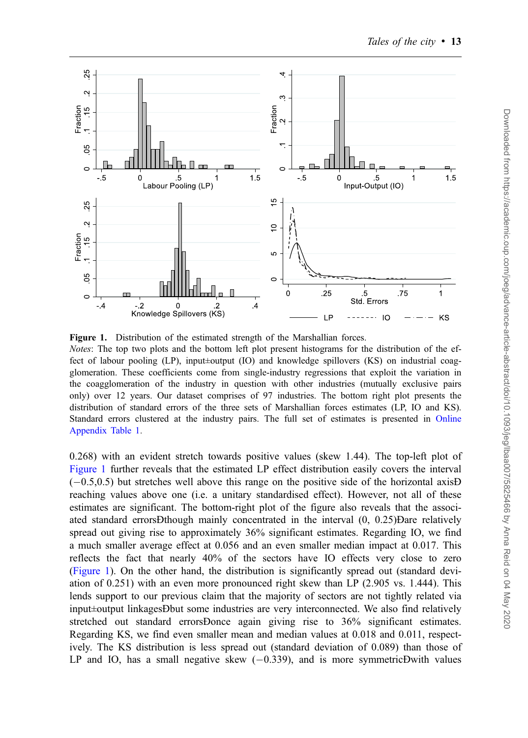<span id="page-12-0"></span>

Figure 1. Distribution of the estimated strength of the Marshallian forces. Notes: The top two plots and the bottom left plot present histograms for the distribution of the effect of labour pooling (LP), input±output (IO) and knowledge spillovers (KS) on industrial coagglomeration. These coefficients come from single-industry regressions that exploit the variation in the coagglomeration of the industry in question with other industries (mutually exclusive pairs only) over 12 years. Our dataset comprises of 97 industries. The bottom right plot presents the distribution of standard errors of the three sets of Marshallian forces estimates (LP, IO and KS). Standard errors clustered at the industry pairs. The full set of estimates is presented in [Online](https://academic.oup.com/joeg/article-lookup/doi/10.1093/jeg/lbaa007#supplementary-data) [Appendix Table 1](https://academic.oup.com/joeg/article-lookup/doi/10.1093/jeg/lbaa007#supplementary-data).

0.268) with an evident stretch towards positive values (skew 1.44). The top-left plot of Figure 1 further reveals that the estimated LP effect distribution easily covers the interval  $(-0.5,0.5)$  but stretches well above this range on the positive side of the horizontal axisD reaching values above one (i.e. a unitary standardised effect). However, not all of these estimates are significant. The bottom-right plot of the figure also reveals that the associated standard errorsÐthough mainly concentrated in the interval (0, 0.25)Ðare relatively spread out giving rise to approximately 36% significant estimates. Regarding IO, we find a much smaller average effect at 0.056 and an even smaller median impact at 0.017. This reflects the fact that nearly 40% of the sectors have IO effects very close to zero (Figure 1). On the other hand, the distribution is significantly spread out (standard deviation of 0.251) with an even more pronounced right skew than LP (2.905 vs. 1.444). This lends support to our previous claim that the majority of sectors are not tightly related via input±output linkagesÐbut some industries are very interconnected. We also find relatively stretched out standard errorsDonce again giving rise to 36% significant estimates. Regarding KS, we find even smaller mean and median values at 0.018 and 0.011, respectively. The KS distribution is less spread out (standard deviation of 0.089) than those of LP and IO, has a small negative skew  $(-0.339)$ , and is more symmetricĐwith values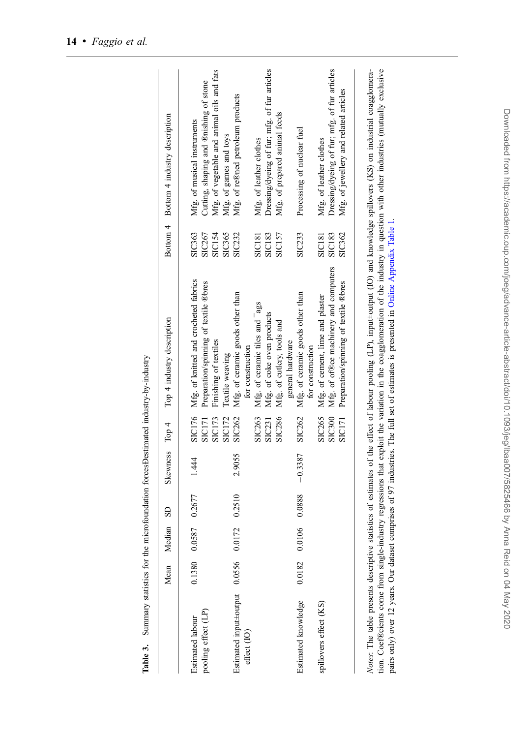<span id="page-13-0"></span>

|                               | Mean   | Median SD     |        | Skewness Top 4          |               | Top 4 industry description            |               | Bottom 4 Bottom 4 industry description       |
|-------------------------------|--------|---------------|--------|-------------------------|---------------|---------------------------------------|---------------|----------------------------------------------|
| Estimated labour              | 0.1380 | 0.0587 0.2677 |        | 1.44                    | SIC176        | Mfg. of knitted and crocheted fabrics | SIC363        | Mfg. of musical instruments                  |
| pooling effect (LP)           |        |               |        |                         | SIC171        | Preparation/spinning of textile ®bres | SIC267        | Cutting, shaping and ®nishing of stone       |
|                               |        |               |        |                         | <b>SIC173</b> | Finishing of textiles                 | <b>SIC154</b> | Mfg. of vegetable and animal oils and fats   |
|                               |        |               |        |                         | <b>SIC172</b> | Textile weaving                       | SIC365        | Mfg. of games and toys                       |
| Estimated input±output 0.0556 |        | 0.0172        | 0.2510 | 2.9055                  | SIC262        | Mfg. of ceramic goods other than      | SIC232        | Mfg. of re®ned petroleum products            |
| effect (IO)                   |        |               |        |                         |               | for construction                      |               |                                              |
|                               |        |               |        |                         | SIC263        | Mfg. of ceramic tiles and ags         | <b>SIC181</b> | Mfg. of leather clothes                      |
|                               |        |               |        |                         | SIC231        | Mfg. of coke oven products            | <b>SIC183</b> | Dressing/dyeing of fur; mfg. of fur articles |
|                               |        |               |        |                         | SIC286        | Mfg. of cutlery, tools and            | SIC157        | Mfg. of prepared animal feeds                |
|                               |        |               |        |                         |               | general hardware                      |               |                                              |
| Estimated knowledge           | 0.0182 |               |        | $0.0106$ 0.0888 -0.3387 | SIC262        | Mfg. of ceramic goods other than      | SIC233        | Processing of nuclear fuel                   |
|                               |        |               |        |                         |               | for construction                      |               |                                              |
| spillovers effect (KS)        |        |               |        |                         | SIC265        | Mfg. of cement, lime and plaster      | <b>SIC181</b> | Mfg. of leather clothes                      |
|                               |        |               |        |                         | <b>SIC300</b> | Mfg. of of®ce machinery and computers | <b>SIC183</b> | Dressing/dyeing of fur; mfg. of fur articles |
|                               |        |               |        |                         | <b>SIC171</b> | Preparation/spinning of textile ®bres | SIC362        | Mfg. of jewellery and related articles       |

Summary statistics for the microfoundation forces Destimated industry-by-industry Table 3. Summary statistics for the microfoundation forcesÐestimated industry-by-industry Table 3.

 $\frac{1}{2}$  from the comparison of the substructure of the contract of the coagglomeration of the industry in question with other industries (munally exclusive tion. Coeffecients come from single-industry regressions that e Notes: The table presents descriptive statistics of estimates of the effect of labour pooling (LP), input±output (IO) and knowledge spillovers (KS) on industrial coagglomeration. Coef®cients come from single-industry regressions that exploit the variation in the coagglomeration of the industry in question with other industries (mutually exclusive pairs only) over 12 years. Our dataset comprises of 97 industries. The full set of estimates is presented in Online Appendix Table 1. pairs only) over 12 years. Our dataset comprises of 97 industries. The full set of estimates is presented in Online [Appendix](https://academic.oup.com/joeg/article-lookup/doi/10.1093/jeg/lbaa007#supplementary-data) [Table](#page-7-0) 1.

l, l,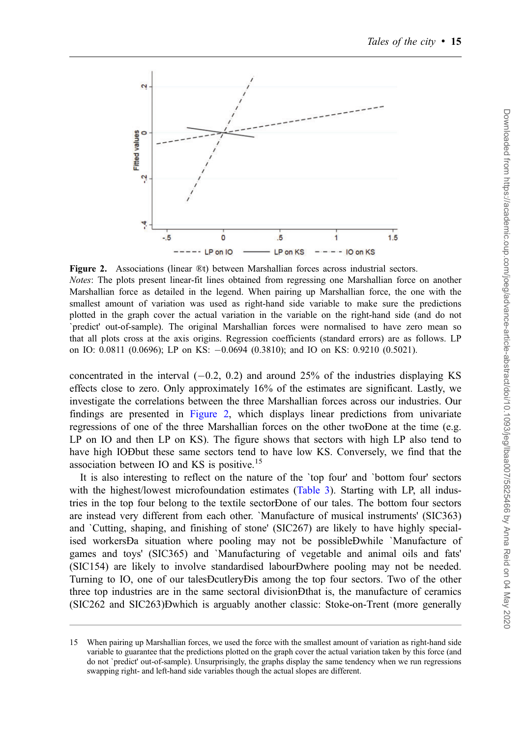

Figure 2. Associations (linear ®t) between Marshallian forces across industrial sectors. Notes: The plots present linear-fit lines obtained from regressing one Marshallian force on another Marshallian force as detailed in the legend. When pairing up Marshallian force, the one with the smallest amount of variation was used as right-hand side variable to make sure the predictions plotted in the graph cover the actual variation in the variable on the right-hand side (and do not `predict' out-of-sample). The original Marshallian forces were normalised to have zero mean so that all plots cross at the axis origins. Regression coefficients (standard errors) are as follows. LP on IO: 0.0811 (0.0696); LP on KS: 0.0694 (0.3810); and IO on KS: 0.9210 (0.5021).

concentrated in the interval  $(-0.2, 0.2)$  and around 25% of the industries displaying KS effects close to zero. Only approximately 16% of the estimates are significant. Lastly, we investigate the correlations between the three Marshallian forces across our industries. Our findings are presented in Figure 2, which displays linear predictions from univariate regressions of one of the three Marshallian forces on the other twoÐone at the time (e.g. LP on IO and then LP on KS). The figure shows that sectors with high LP also tend to have high IOÐbut these same sectors tend to have low KS. Conversely, we find that the association between IO and KS is positive.<sup>15</sup>

It is also interesting to reflect on the nature of the `top four' and `bottom four' sectors with the highest/lowest microfoundation estimates ([Table 3](#page-13-0)). Starting with LP, all industries in the top four belong to the textile sectorÐone of our tales. The bottom four sectors are instead very different from each other. `Manufacture of musical instruments' (SIC363) and `Cutting, shaping, and finishing of stone' (SIC267) are likely to have highly specialised workersÐa situation where pooling may not be possibleÐwhile `Manufacture of games and toys' (SIC365) and `Manufacturing of vegetable and animal oils and fats' (SIC154) are likely to involve standardised labourÐwhere pooling may not be needed. Turning to IO, one of our talesÐcutleryÐis among the top four sectors. Two of the other three top industries are in the same sectoral divisionÐthat is, the manufacture of ceramics (SIC262 and SIC263)Ðwhich is arguably another classic: Stoke-on-Trent (more generally

<sup>15</sup> When pairing up Marshallian forces, we used the force with the smallest amount of variation as right-hand side variable to guarantee that the predictions plotted on the graph cover the actual variation taken by this force (and do not `predict' out-of-sample). Unsurprisingly, the graphs display the same tendency when we run regressions swapping right- and left-hand side variables though the actual slopes are different.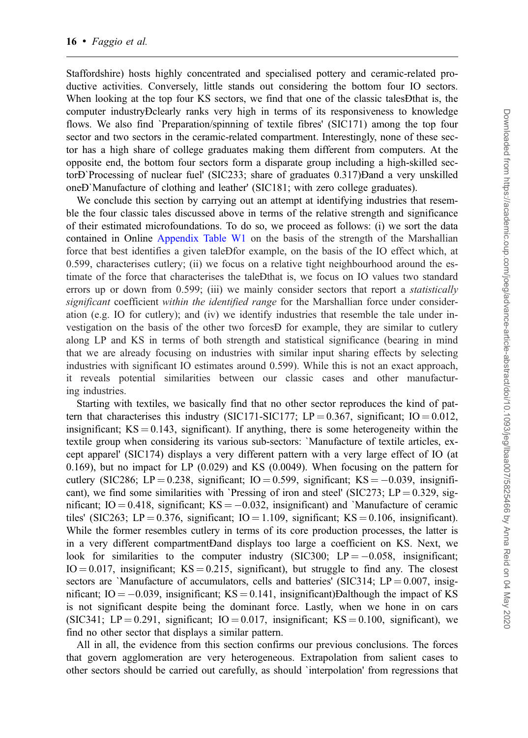Staffordshire) hosts highly concentrated and specialised pottery and ceramic-related productive activities. Conversely, little stands out considering the bottom four IO sectors. When looking at the top four KS sectors, we find that one of the classic tales Dthat is, the computer industryÐclearly ranks very high in terms of its responsiveness to knowledge flows. We also find `Preparation/spinning of textile fibres' (SIC171) among the top four sector and two sectors in the ceramic-related compartment. Interestingly, none of these sector has a high share of college graduates making them different from computers. At the opposite end, the bottom four sectors form a disparate group including a high-skilled sectorÐ`Processing of nuclear fuel' (SIC233; share of graduates 0.317)Ðand a very unskilled oneÐ`Manufacture of clothing and leather' (SIC181; with zero college graduates).

We conclude this section by carrying out an attempt at identifying industries that resemble the four classic tales discussed above in terms of the relative strength and significance of their estimated microfoundations. To do so, we proceed as follows: (i) we sort the data contained in Online [Appendix Table W1](https://academic.oup.com/joeg/article-lookup/doi/10.1093/jeg/lbaa007#supplementary-data) on the basis of the strength of the Marshallian force that best identifies a given taleÐfor example, on the basis of the IO effect which, at 0.599, characterises cutlery; (ii) we focus on a relative tight neighbourhood around the estimate of the force that characterises the taleÐthat is, we focus on IO values two standard errors up or down from 0.599; (iii) we mainly consider sectors that report a *statistically* significant coefficient within the identified range for the Marshallian force under consideration (e.g. IO for cutlery); and (iv) we identify industries that resemble the tale under investigation on the basis of the other two forcesÐ for example, they are similar to cutlery along LP and KS in terms of both strength and statistical significance (bearing in mind that we are already focusing on industries with similar input sharing effects by selecting industries with significant IO estimates around 0.599). While this is not an exact approach, it reveals potential similarities between our classic cases and other manufacturing industries.

Starting with textiles, we basically find that no other sector reproduces the kind of pattern that characterises this industry (SIC171-SIC177; LP = 0.367, significant; IO = 0.012, insignificant;  $KS = 0.143$ , significant). If anything, there is some heterogeneity within the textile group when considering its various sub-sectors: `Manufacture of textile articles, except apparel' (SIC174) displays a very different pattern with a very large effect of IO (at 0.169), but no impact for LP (0.029) and KS (0.0049). When focusing on the pattern for cutlery (SIC286; LP = 0.238, significant; IO = 0.599, significant; KS =  $-0.039$ , insignificant), we find some similarities with `Pressing of iron and steel' (SIC273; LP =  $0.329$ , significant; IO = 0.418, significant; KS =  $-0.032$ , insignificant) and `Manufacture of ceramic tiles' (SIC263; LP = 0.376, significant; IO = 1.109, significant; KS = 0.106, insignificant). While the former resembles cutlery in terms of its core production processes, the latter is in a very different compartmentÐand displays too large a coefficient on KS. Next, we look for similarities to the computer industry (SIC300;  $LP = -0.058$ , insignificant;  $IO = 0.017$ , insignificant;  $KS = 0.215$ , significant), but struggle to find any. The closest sectors are `Manufacture of accumulators, cells and batteries' (SIC314;  $LP = 0.007$ , insignificant; IO  $= -0.039$ , insignificant; KS  $= 0.141$ , insignificant)Dalthough the impact of KS is not significant despite being the dominant force. Lastly, when we hone in on cars (SIC341; LP = 0.291, significant; IO = 0.017, insignificant; KS = 0.100, significant), we find no other sector that displays a similar pattern.

All in all, the evidence from this section confirms our previous conclusions. The forces that govern agglomeration are very heterogeneous. Extrapolation from salient cases to other sectors should be carried out carefully, as should `interpolation' from regressions that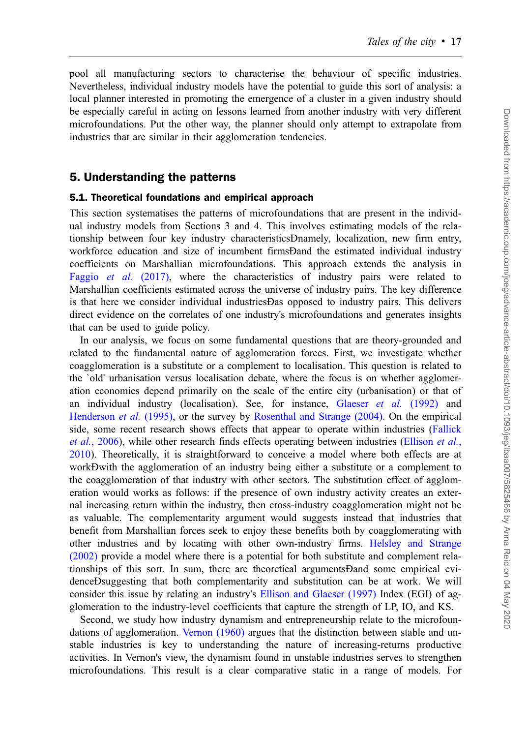pool all manufacturing sectors to characterise the behaviour of specific industries. Nevertheless, individual industry models have the potential to guide this sort of analysis: a local planner interested in promoting the emergence of a cluster in a given industry should be especially careful in acting on lessons learned from another industry with very different microfoundations. Put the other way, the planner should only attempt to extrapolate from industries that are similar in their agglomeration tendencies.

### 5. Understanding the patterns

#### 5.1. Theoretical foundations and empirical approach

This section systematises the patterns of microfoundations that are present in the individual industry models from Sections 3 and 4. This involves estimating models of the relationship between four key industry characteristicsÐnamely, localization, new firm entry, workforce education and size of incumbent firmsÐand the estimated individual industry coefficients on Marshallian microfoundations. This approach extends the analysis in [Faggio](#page-24-0) et al. (2017), where the characteristics of industry pairs were related to Marshallian coefficients estimated across the universe of industry pairs. The key difference is that here we consider individual industriesÐas opposed to industry pairs. This delivers direct evidence on the correlates of one industry's microfoundations and generates insights that can be used to guide policy.

In our analysis, we focus on some fundamental questions that are theory-grounded and related to the fundamental nature of agglomeration forces. First, we investigate whether coagglomeration is a substitute or a complement to localisation. This question is related to the `old' urbanisation versus localisation debate, where the focus is on whether agglomeration economies depend primarily on the scale of the entire city (urbanisation) or that of an individual industry (localisation). See, for instance, [Glaeser](#page-25-0) et al. (1992) and [Henderson](#page-25-0) et al. (1995), or the survey by [Rosenthal and Strange \(2004\).](#page-25-0) On the empirical side, some recent research shows effects that appear to operate within industries ([Fallick](#page-24-0) et al.[, 2006](#page-24-0)), while other research finds effects operating between industries ([Ellison](#page-24-0) et al., [2010\)](#page-24-0). Theoretically, it is straightforward to conceive a model where both effects are at workÐwith the agglomeration of an industry being either a substitute or a complement to the coagglomeration of that industry with other sectors. The substitution effect of agglomeration would works as follows: if the presence of own industry activity creates an external increasing return within the industry, then cross-industry coagglomeration might not be as valuable. The complementarity argument would suggests instead that industries that benefit from Marshallian forces seek to enjoy these benefits both by coagglomerating with other industries and by locating with other own-industry firms. [Helsley and Strange](#page-25-0) [\(2002\)](#page-25-0) provide a model where there is a potential for both substitute and complement relationships of this sort. In sum, there are theoretical argumentsÐand some empirical evidenceÐsuggesting that both complementarity and substitution can be at work. We will consider this issue by relating an industry's [Ellison and Glaeser \(1997\)](#page-24-0) Index (EGI) of agglomeration to the industry-level coefficients that capture the strength of LP, IO, and KS.

Second, we study how industry dynamism and entrepreneurship relate to the microfoundations of agglomeration. [Vernon \(1960\)](#page-25-0) argues that the distinction between stable and unstable industries is key to understanding the nature of increasing-returns productive activities. In Vernon's view, the dynamism found in unstable industries serves to strengthen microfoundations. This result is a clear comparative static in a range of models. For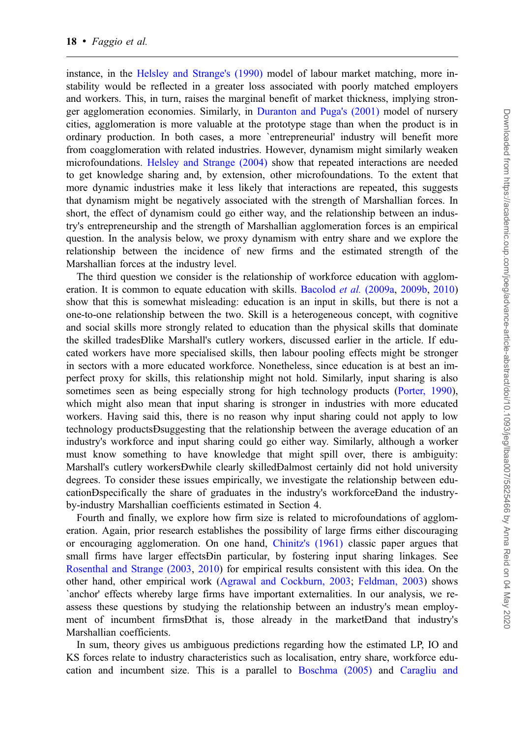instance, in the [Helsley and Strange's \(1990\)](#page-25-0) model of labour market matching, more instability would be reflected in a greater loss associated with poorly matched employers and workers. This, in turn, raises the marginal benefit of market thickness, implying stronger agglomeration economies. Similarly, in [Duranton and Puga's \(2001\)](#page-24-0) model of nursery cities, agglomeration is more valuable at the prototype stage than when the product is in ordinary production. In both cases, a more `entrepreneurial' industry will benefit more from coagglomeration with related industries. However, dynamism might similarly weaken microfoundations. [Helsley and Strange \(2004\)](#page-25-0) show that repeated interactions are needed to get knowledge sharing and, by extension, other microfoundations. To the extent that more dynamic industries make it less likely that interactions are repeated, this suggests that dynamism might be negatively associated with the strength of Marshallian forces. In short, the effect of dynamism could go either way, and the relationship between an industry's entrepreneurship and the strength of Marshallian agglomeration forces is an empirical question. In the analysis below, we proxy dynamism with entry share and we explore the relationship between the incidence of new firms and the estimated strength of the Marshallian forces at the industry level.

The third question we consider is the relationship of workforce education with agglom-eration. It is common to equate education with skills. [Bacolod](#page-24-0) *et al.* (2009a, [2009b,](#page-24-0) [2010\)](#page-24-0) show that this is somewhat misleading: education is an input in skills, but there is not a one-to-one relationship between the two. Skill is a heterogeneous concept, with cognitive and social skills more strongly related to education than the physical skills that dominate the skilled tradesÐlike Marshall's cutlery workers, discussed earlier in the article. If educated workers have more specialised skills, then labour pooling effects might be stronger in sectors with a more educated workforce. Nonetheless, since education is at best an imperfect proxy for skills, this relationship might not hold. Similarly, input sharing is also sometimes seen as being especially strong for high technology products [\(Porter, 1990](#page-25-0)), which might also mean that input sharing is stronger in industries with more educated workers. Having said this, there is no reason why input sharing could not apply to low technology productsÐsuggesting that the relationship between the average education of an industry's workforce and input sharing could go either way. Similarly, although a worker must know something to have knowledge that might spill over, there is ambiguity: Marshall's cutlery workersÐwhile clearly skilledÐalmost certainly did not hold university degrees. To consider these issues empirically, we investigate the relationship between educationÐspecifically the share of graduates in the industry's workforceÐand the industryby-industry Marshallian coefficients estimated in Section 4.

Fourth and finally, we explore how firm size is related to microfoundations of agglomeration. Again, prior research establishes the possibility of large firms either discouraging or encouraging agglomeration. On one hand, [Chinitz's \(1961\)](#page-24-0) classic paper argues that small firms have larger effectsÐin particular, by fostering input sharing linkages. See [Rosenthal and Strange \(2003](#page-25-0), [2010](#page-25-0)) for empirical results consistent with this idea. On the other hand, other empirical work [\(Agrawal and Cockburn, 2003;](#page-24-0) [Feldman, 2003\)](#page-24-0) shows `anchor' effects whereby large firms have important externalities. In our analysis, we reassess these questions by studying the relationship between an industry's mean employment of incumbent firmsÐthat is, those already in the marketÐand that industry's Marshallian coefficients.

In sum, theory gives us ambiguous predictions regarding how the estimated LP, IO and KS forces relate to industry characteristics such as localisation, entry share, workforce education and incumbent size. This is a parallel to [Boschma \(2005\)](#page-24-0) and [Caragliu and](#page-24-0)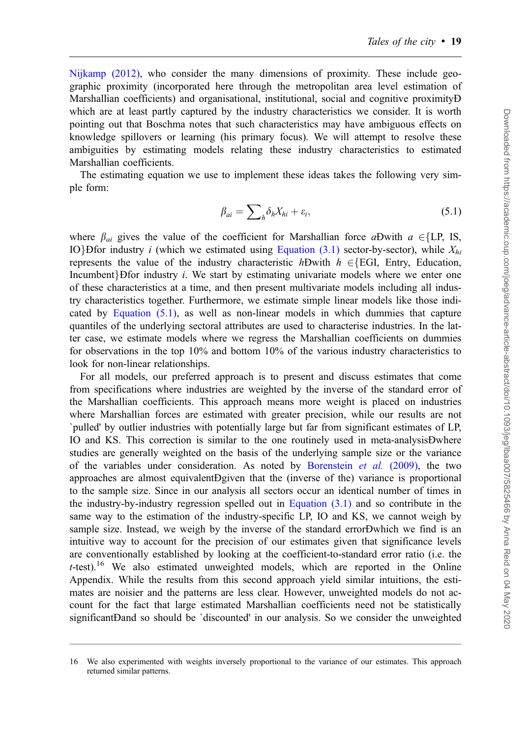[Nijkamp \(2012\)](#page-24-0), who consider the many dimensions of proximity. These include geographic proximity (incorporated here through the metropolitan area level estimation of Marshallian coefficients) and organisational, institutional, social and cognitive proximityÐ which are at least partly captured by the industry characteristics we consider. It is worth pointing out that Boschma notes that such characteristics may have ambiguous effects on knowledge spillovers or learning (his primary focus). We will attempt to resolve these ambiguities by estimating models relating these industry characteristics to estimated Marshallian coefficients.

The estimating equation we use to implement these ideas takes the following very simple form:

$$
\beta_{ai} = \sum_{h} \delta_h X_{hi} + \varepsilon_i, \tag{5.1}
$$

where  $\beta_{ai}$  gives the value of the coefficient for Marshallian force aÐwith  $a \in \{LP, IS,$ IO}Dfor industry i (which we estimated using [Equation \(3.1\)](#page-8-0) sector-by-sector), while  $X_{hi}$ represents the value of the industry characteristic hÐwith  $h \in \{EGI, Entry, Education,$ Incumbent} $B$ for industry *i*. We start by estimating univariate models where we enter one of these characteristics at a time, and then present multivariate models including all industry characteristics together. Furthermore, we estimate simple linear models like those indicated by Equation (5.1), as well as non-linear models in which dummies that capture quantiles of the underlying sectoral attributes are used to characterise industries. In the latter case, we estimate models where we regress the Marshallian coefficients on dummies for observations in the top 10% and bottom 10% of the various industry characteristics to look for non-linear relationships.

For all models, our preferred approach is to present and discuss estimates that come from specifications where industries are weighted by the inverse of the standard error of the Marshallian coefficients. This approach means more weight is placed on industries where Marshallian forces are estimated with greater precision, while our results are not `pulled' by outlier industries with potentially large but far from significant estimates of LP, IO and KS. This correction is similar to the one routinely used in meta-analysisÐwhere studies are generally weighted on the basis of the underlying sample size or the variance of the variables under consideration. As noted by [Borenstein](#page-24-0) *et al.* (2009), the two approaches are almost equivalentÐgiven that the (inverse of the) variance is proportional to the sample size. Since in our analysis all sectors occur an identical number of times in the industry-by-industry regression spelled out in [Equation \(3.1\)](#page-8-0) and so contribute in the same way to the estimation of the industry-specific LP, IO and KS, we cannot weigh by sample size. Instead, we weigh by the inverse of the standard errorÐwhich we find is an intuitive way to account for the precision of our estimates given that significance levels are conventionally established by looking at the coefficient-to-standard error ratio (i.e. the  $t$ -test).<sup>16</sup> We also estimated unweighted models, which are reported in the Online Appendix. While the results from this second approach yield similar intuitions, the estimates are noisier and the patterns are less clear. However, unweighted models do not account for the fact that large estimated Marshallian coefficients need not be statistically significantDand so should be `discounted' in our analysis. So we consider the unweighted

<sup>16</sup> We also experimented with weights inversely proportional to the variance of our estimates. This approach returned similar patterns.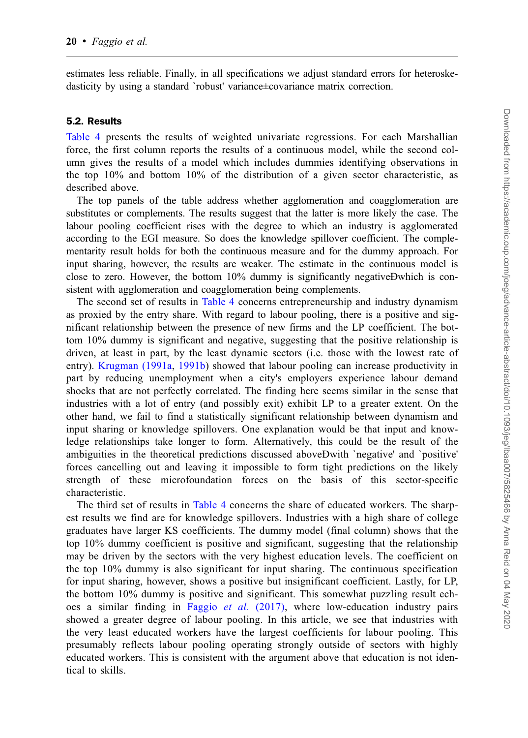estimates less reliable. Finally, in all specifications we adjust standard errors for heteroskedasticity by using a standard `robust' variance±covariance matrix correction.

#### 5.2. Results

[Table 4](#page-20-0) presents the results of weighted univariate regressions. For each Marshallian force, the first column reports the results of a continuous model, while the second column gives the results of a model which includes dummies identifying observations in the top 10% and bottom 10% of the distribution of a given sector characteristic, as described above.

The top panels of the table address whether agglomeration and coagglomeration are substitutes or complements. The results suggest that the latter is more likely the case. The labour pooling coefficient rises with the degree to which an industry is agglomerated according to the EGI measure. So does the knowledge spillover coefficient. The complementarity result holds for both the continuous measure and for the dummy approach. For input sharing, however, the results are weaker. The estimate in the continuous model is close to zero. However, the bottom 10% dummy is significantly negativeÐwhich is consistent with agglomeration and coagglomeration being complements.

The second set of results in [Table 4](#page-20-0) concerns entrepreneurship and industry dynamism as proxied by the entry share. With regard to labour pooling, there is a positive and significant relationship between the presence of new firms and the LP coefficient. The bottom 10% dummy is significant and negative, suggesting that the positive relationship is driven, at least in part, by the least dynamic sectors (i.e. those with the lowest rate of entry). [Krugman \(1991a,](#page-25-0) [1991b](#page-25-0)) showed that labour pooling can increase productivity in part by reducing unemployment when a city's employers experience labour demand shocks that are not perfectly correlated. The finding here seems similar in the sense that industries with a lot of entry (and possibly exit) exhibit LP to a greater extent. On the other hand, we fail to find a statistically significant relationship between dynamism and input sharing or knowledge spillovers. One explanation would be that input and knowledge relationships take longer to form. Alternatively, this could be the result of the ambiguities in the theoretical predictions discussed aboveÐwith `negative' and `positive' forces cancelling out and leaving it impossible to form tight predictions on the likely strength of these microfoundation forces on the basis of this sector-specific characteristic.

The third set of results in [Table 4](#page-20-0) concerns the share of educated workers. The sharpest results we find are for knowledge spillovers. Industries with a high share of college graduates have larger KS coefficients. The dummy model (final column) shows that the top 10% dummy coefficient is positive and significant, suggesting that the relationship may be driven by the sectors with the very highest education levels. The coefficient on the top 10% dummy is also significant for input sharing. The continuous specification for input sharing, however, shows a positive but insignificant coefficient. Lastly, for LP, the bottom 10% dummy is positive and significant. This somewhat puzzling result ech-oes a similar finding in [Faggio](#page-24-0) et al.  $(2017)$ , where low-education industry pairs showed a greater degree of labour pooling. In this article, we see that industries with the very least educated workers have the largest coefficients for labour pooling. This presumably reflects labour pooling operating strongly outside of sectors with highly educated workers. This is consistent with the argument above that education is not identical to skills.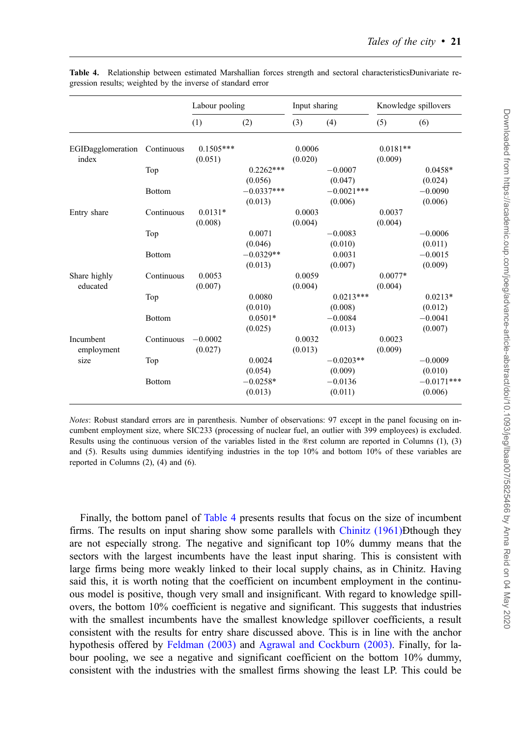|                         |               | Labour pooling |              | Input sharing |              | Knowledge spillovers |              |
|-------------------------|---------------|----------------|--------------|---------------|--------------|----------------------|--------------|
|                         |               | (1)            | (2)          | (3)           | (4)          | (5)                  | (6)          |
| EGIDagglomeration       | Continuous    | $0.1505***$    |              | 0.0006        |              | $0.0181**$           |              |
| index                   |               | (0.051)        |              | (0.020)       |              | (0.009)              |              |
|                         | Top           |                | $0.2262***$  |               | $-0.0007$    |                      | $0.0458*$    |
|                         |               |                | (0.056)      |               | (0.047)      |                      | (0.024)      |
|                         | <b>Bottom</b> |                | $-0.0337***$ |               | $-0.0021***$ |                      | $-0.0090$    |
|                         |               |                | (0.013)      |               | (0.006)      |                      | (0.006)      |
| Entry share             | Continuous    | $0.0131*$      |              | 0.0003        |              | 0.0037               |              |
|                         |               | (0.008)        |              | (0.004)       |              | (0.004)              |              |
|                         | Top           |                | 0.0071       |               | $-0.0083$    |                      | $-0.0006$    |
|                         |               |                | (0.046)      |               | (0.010)      |                      | (0.011)      |
|                         | Bottom        |                | $-0.0329**$  |               | 0.0031       |                      | $-0.0015$    |
|                         |               |                | (0.013)      |               | (0.007)      |                      | (0.009)      |
| Share highly            | Continuous    | 0.0053         |              | 0.0059        |              | $0.0077*$            |              |
| educated                |               | (0.007)        |              | (0.004)       |              | (0.004)              |              |
|                         | Top           |                | 0.0080       |               | $0.0213***$  |                      | $0.0213*$    |
|                         |               |                | (0.010)      |               | (0.008)      |                      | (0.012)      |
|                         | <b>Bottom</b> |                | $0.0501*$    |               | $-0.0084$    |                      | $-0.0041$    |
|                         |               |                | (0.025)      |               | (0.013)      |                      | (0.007)      |
| Incumbent<br>employment | Continuous    | $-0.0002$      |              | 0.0032        |              | 0.0023               |              |
|                         |               | (0.027)        |              | (0.013)       |              | (0.009)              |              |
| size                    | Top           |                | 0.0024       |               | $-0.0203**$  |                      | $-0.0009$    |
|                         |               |                | (0.054)      |               | (0.009)      |                      | (0.010)      |
|                         | <b>Bottom</b> |                | $-0.0258*$   |               | $-0.0136$    |                      | $-0.0171***$ |
|                         |               |                | (0.013)      |               | (0.011)      |                      | (0.006)      |

<span id="page-20-0"></span>Table 4. Relationship between estimated Marshallian forces strength and sectoral characteristicsÐunivariate regression results; weighted by the inverse of standard error

Notes: Robust standard errors are in parenthesis. Number of observations: 97 except in the panel focusing on incumbent employment size, where SIC233 (processing of nuclear fuel, an outlier with 399 employees) is excluded. Results using the continuous version of the variables listed in the ®rst column are reported in Columns (1), (3) and (5). Results using dummies identifying industries in the top 10% and bottom 10% of these variables are reported in Columns (2), (4) and (6).

Finally, the bottom panel of Table 4 presents results that focus on the size of incumbent firms. The results on input sharing show some parallels with [Chinitz \(1961\)](#page-24-0)Ðthough they are not especially strong. The negative and significant top 10% dummy means that the sectors with the largest incumbents have the least input sharing. This is consistent with large firms being more weakly linked to their local supply chains, as in Chinitz. Having said this, it is worth noting that the coefficient on incumbent employment in the continuous model is positive, though very small and insignificant. With regard to knowledge spillovers, the bottom 10% coefficient is negative and significant. This suggests that industries with the smallest incumbents have the smallest knowledge spillover coefficients, a result consistent with the results for entry share discussed above. This is in line with the anchor hypothesis offered by [Feldman \(2003\)](#page-24-0) and [Agrawal and Cockburn \(2003\).](#page-24-0) Finally, for labour pooling, we see a negative and significant coefficient on the bottom 10% dummy, consistent with the industries with the smallest firms showing the least LP. This could be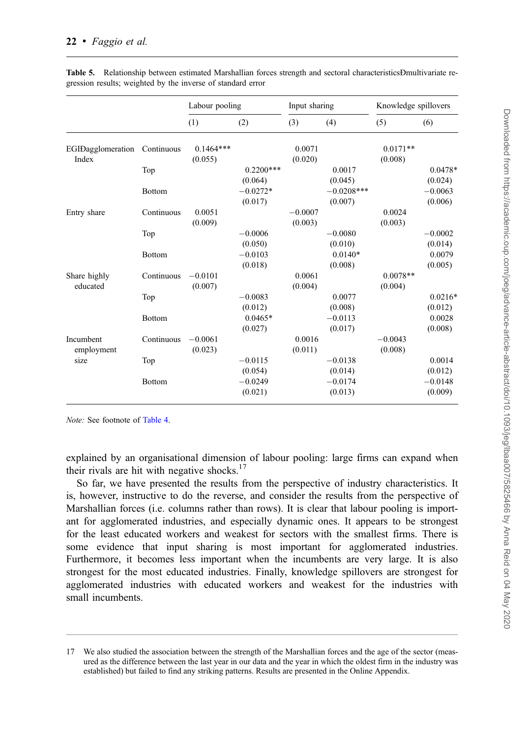|                         |               | Labour pooling |             | Input sharing |              | Knowledge spillovers |           |
|-------------------------|---------------|----------------|-------------|---------------|--------------|----------------------|-----------|
|                         |               | (1)            | (2)         | (3)           | (4)          | (5)                  | (6)       |
| EGIDagglomeration       | Continuous    | $0.1464***$    |             | 0.0071        |              | $0.0171**$           |           |
| Index                   |               | (0.055)        |             | (0.020)       |              | (0.008)              |           |
|                         | Top           |                | $0.2200***$ |               | 0.0017       |                      | $0.0478*$ |
|                         |               |                | (0.064)     |               | (0.045)      |                      | (0.024)   |
|                         | <b>Bottom</b> |                | $-0.0272*$  |               | $-0.0208***$ |                      | $-0.0063$ |
|                         |               |                | (0.017)     |               | (0.007)      |                      | (0.006)   |
| Entry share             | Continuous    | 0.0051         |             | $-0.0007$     |              | 0.0024               |           |
|                         |               | (0.009)        |             | (0.003)       |              | (0.003)              |           |
|                         | Top           |                | $-0.0006$   |               | $-0.0080$    |                      | $-0.0002$ |
|                         |               |                | (0.050)     |               | (0.010)      |                      | (0.014)   |
|                         | <b>Bottom</b> |                | $-0.0103$   |               | $0.0140*$    |                      | 0.0079    |
|                         |               |                | (0.018)     |               | (0.008)      |                      | (0.005)   |
| Share highly            | Continuous    | $-0.0101$      |             | 0.0061        |              | $0.0078**$           |           |
| educated                |               | (0.007)        |             | (0.004)       |              | (0.004)              |           |
|                         | Top           |                | $-0.0083$   |               | 0.0077       |                      | $0.0216*$ |
|                         |               |                | (0.012)     |               | (0.008)      |                      | (0.012)   |
|                         | <b>Bottom</b> |                | $0.0465*$   |               | $-0.0113$    |                      | 0.0028    |
|                         |               |                | (0.027)     |               | (0.017)      |                      | (0.008)   |
| Incumbent<br>employment | Continuous    | $-0.0061$      |             | 0.0016        |              | $-0.0043$            |           |
|                         |               | (0.023)        |             | (0.011)       |              | (0.008)              |           |
| size                    | Top           |                | $-0.0115$   |               | $-0.0138$    |                      | 0.0014    |
|                         |               |                | (0.054)     |               | (0.014)      |                      | (0.012)   |
|                         | <b>Bottom</b> |                | $-0.0249$   |               | $-0.0174$    |                      | $-0.0148$ |
|                         |               |                | (0.021)     |               | (0.013)      |                      | (0.009)   |

<span id="page-21-0"></span>Table 5. Relationship between estimated Marshallian forces strength and sectoral characteristicsÐmultivariate regression results; weighted by the inverse of standard error

Note: See footnote of [Table 4](#page-20-0).

explained by an organisational dimension of labour pooling: large firms can expand when their rivals are hit with negative shocks.<sup>17</sup>

So far, we have presented the results from the perspective of industry characteristics. It is, however, instructive to do the reverse, and consider the results from the perspective of Marshallian forces (i.e. columns rather than rows). It is clear that labour pooling is important for agglomerated industries, and especially dynamic ones. It appears to be strongest for the least educated workers and weakest for sectors with the smallest firms. There is some evidence that input sharing is most important for agglomerated industries. Furthermore, it becomes less important when the incumbents are very large. It is also strongest for the most educated industries. Finally, knowledge spillovers are strongest for agglomerated industries with educated workers and weakest for the industries with small incumbents.

We also studied the association between the strength of the Marshallian forces and the age of the sector (measured as the difference between the last year in our data and the year in which the oldest firm in the industry was established) but failed to find any striking patterns. Results are presented in the Online Appendix.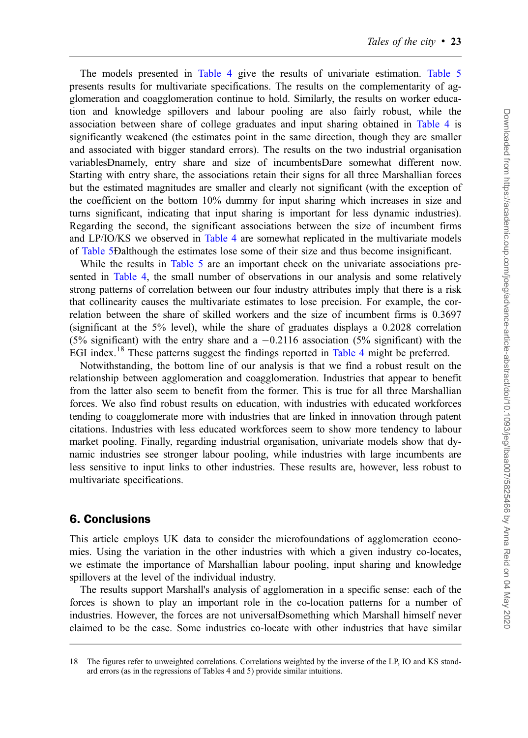The models presented in [Table 4](#page-20-0) give the results of univariate estimation. [Table 5](#page-21-0) presents results for multivariate specifications. The results on the complementarity of agglomeration and coagglomeration continue to hold. Similarly, the results on worker education and knowledge spillovers and labour pooling are also fairly robust, while the association between share of college graduates and input sharing obtained in [Table 4](#page-20-0) is significantly weakened (the estimates point in the same direction, though they are smaller and associated with bigger standard errors). The results on the two industrial organisation variablesÐnamely, entry share and size of incumbentsÐare somewhat different now. Starting with entry share, the associations retain their signs for all three Marshallian forces but the estimated magnitudes are smaller and clearly not significant (with the exception of the coefficient on the bottom 10% dummy for input sharing which increases in size and turns significant, indicating that input sharing is important for less dynamic industries). Regarding the second, the significant associations between the size of incumbent firms and LP/IO/KS we observed in [Table 4](#page-20-0) are somewhat replicated in the multivariate models of [Table 5Ð](#page-21-0)although the estimates lose some of their size and thus become insignificant.

While the results in [Table 5](#page-21-0) are an important check on the univariate associations presented in [Table 4,](#page-20-0) the small number of observations in our analysis and some relatively strong patterns of correlation between our four industry attributes imply that there is a risk that collinearity causes the multivariate estimates to lose precision. For example, the correlation between the share of skilled workers and the size of incumbent firms is 0.3697 (significant at the 5% level), while the share of graduates displays a 0.2028 correlation (5% significant) with the entry share and a  $-0.2116$  association (5% significant) with the EGI index.<sup>18</sup> These patterns suggest the findings reported in [Table 4](#page-20-0) might be preferred.

Notwithstanding, the bottom line of our analysis is that we find a robust result on the relationship between agglomeration and coagglomeration. Industries that appear to benefit from the latter also seem to benefit from the former. This is true for all three Marshallian forces. We also find robust results on education, with industries with educated workforces tending to coagglomerate more with industries that are linked in innovation through patent citations. Industries with less educated workforces seem to show more tendency to labour market pooling. Finally, regarding industrial organisation, univariate models show that dynamic industries see stronger labour pooling, while industries with large incumbents are less sensitive to input links to other industries. These results are, however, less robust to multivariate specifications.

## 6. Conclusions

This article employs UK data to consider the microfoundations of agglomeration economies. Using the variation in the other industries with which a given industry co-locates, we estimate the importance of Marshallian labour pooling, input sharing and knowledge spillovers at the level of the individual industry.

The results support Marshall's analysis of agglomeration in a specific sense: each of the forces is shown to play an important role in the co-location patterns for a number of industries. However, the forces are not universalÐsomething which Marshall himself never claimed to be the case. Some industries co-locate with other industries that have similar

<sup>18</sup> The figures refer to unweighted correlations. Correlations weighted by the inverse of the LP, IO and KS standard errors (as in the regressions of Tables 4 and 5) provide similar intuitions.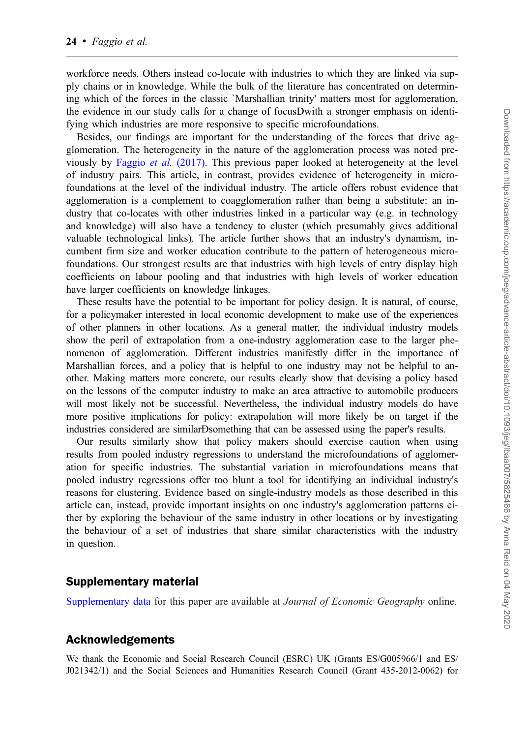workforce needs. Others instead co-locate with industries to which they are linked via supply chains or in knowledge. While the bulk of the literature has concentrated on determining which of the forces in the classic `Marshallian trinity' matters most for agglomeration, the evidence in our study calls for a change of focusÐwith a stronger emphasis on identifying which industries are more responsive to specific microfoundations.

Besides, our findings are important for the understanding of the forces that drive agglomeration. The heterogeneity in the nature of the agglomeration process was noted previously by [Faggio](#page-24-0) et al. (2017). This previous paper looked at heterogeneity at the level of industry pairs. This article, in contrast, provides evidence of heterogeneity in microfoundations at the level of the individual industry. The article offers robust evidence that agglomeration is a complement to coagglomeration rather than being a substitute: an industry that co-locates with other industries linked in a particular way (e.g. in technology and knowledge) will also have a tendency to cluster (which presumably gives additional valuable technological links). The article further shows that an industry's dynamism, incumbent firm size and worker education contribute to the pattern of heterogeneous microfoundations. Our strongest results are that industries with high levels of entry display high coefficients on labour pooling and that industries with high levels of worker education have larger coefficients on knowledge linkages.

These results have the potential to be important for policy design. It is natural, of course, for a policymaker interested in local economic development to make use of the experiences of other planners in other locations. As a general matter, the individual industry models show the peril of extrapolation from a one-industry agglomeration case to the larger phenomenon of agglomeration. Different industries manifestly differ in the importance of Marshallian forces, and a policy that is helpful to one industry may not be helpful to another. Making matters more concrete, our results clearly show that devising a policy based on the lessons of the computer industry to make an area attractive to automobile producers will most likely not be successful. Nevertheless, the individual industry models do have more positive implications for policy: extrapolation will more likely be on target if the industries considered are similarÐsomething that can be assessed using the paper's results.

Our results similarly show that policy makers should exercise caution when using results from pooled industry regressions to understand the microfoundations of agglomeration for specific industries. The substantial variation in microfoundations means that pooled industry regressions offer too blunt a tool for identifying an individual industry's reasons for clustering. Evidence based on single-industry models as those described in this article can, instead, provide important insights on one industry's agglomeration patterns either by exploring the behaviour of the same industry in other locations or by investigating the behaviour of a set of industries that share similar characteristics with the industry in question.

#### Supplementary material

[Supplementary data](https://academic.oup.com/joeg/article-lookup/doi/10.1093/jeg/lbaa007#supplementary-data) for this paper are available at Journal of Economic Geography online.

#### Acknowledgements

We thank the Economic and Social Research Council (ESRC) UK (Grants ES/G005966/1 and ES/ J021342/1) and the Social Sciences and Humanities Research Council (Grant 435-2012-0062) for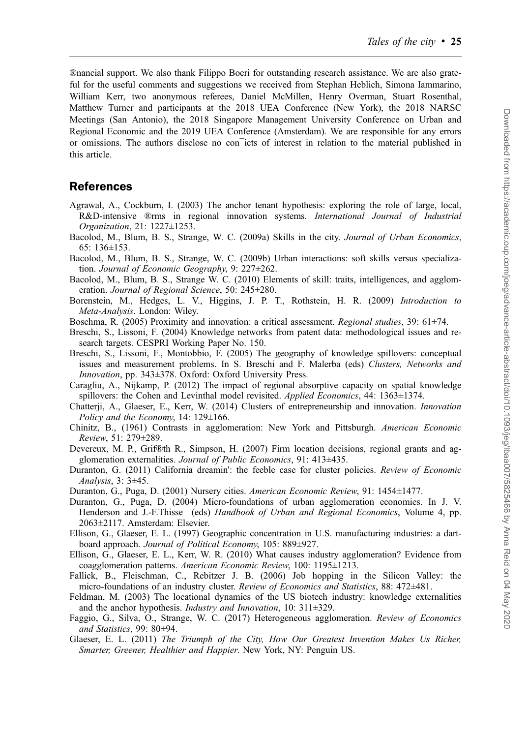<span id="page-24-0"></span>®nancial support. We also thank Filippo Boeri for outstanding research assistance. We are also grateful for the useful comments and suggestions we received from Stephan Heblich, Simona Iammarino, William Kerr, two anonymous referees, Daniel McMillen, Henry Overman, Stuart Rosenthal, Matthew Turner and participants at the 2018 UEA Conference (New York), the 2018 NARSC Meetings (San Antonio), the 2018 Singapore Management University Conference on Urban and Regional Economic and the 2019 UEA Conference (Amsterdam). We are responsible for any errors or omissions. The authors disclose no con¯icts of interest in relation to the material published in this article.

#### References

- Agrawal, A., Cockburn, I. (2003) The anchor tenant hypothesis: exploring the role of large, local, R&D-intensive ®rms in regional innovation systems. International Journal of Industrial Organization, 21: 1227±1253.
- Bacolod, M., Blum, B. S., Strange, W. C. (2009a) Skills in the city. Journal of Urban Economics, 65: 136±153.
- Bacolod, M., Blum, B. S., Strange, W. C. (2009b) Urban interactions: soft skills versus specialization. Journal of Economic Geography, 9: 227±262.
- Bacolod, M., Blum, B. S., Strange W. C. (2010) Elements of skill: traits, intelligences, and agglomeration. Journal of Regional Science, 50: 245±280.
- Borenstein, M., Hedges, L. V., Higgins, J. P. T., Rothstein, H. R. (2009) Introduction to Meta-Analysis. London: Wiley.
- Boschma, R. (2005) Proximity and innovation: a critical assessment. Regional studies, 39: 61±74.
- Breschi, S., Lissoni, F. (2004) Knowledge networks from patent data: methodological issues and research targets. CESPRI Working Paper No. 150.
- Breschi, S., Lissoni, F., Montobbio, F. (2005) The geography of knowledge spillovers: conceptual issues and measurement problems. In S. Breschi and F. Malerba (eds) Clusters, Networks and Innovation, pp. 343±378. Oxford: Oxford University Press.
- Caragliu, A., Nijkamp, P. (2012) The impact of regional absorptive capacity on spatial knowledge spillovers: the Cohen and Levinthal model revisited. Applied Economics, 44: 1363±1374.
- Chatterji, A., Glaeser, E., Kerr, W. (2014) Clusters of entrepreneurship and innovation. Innovation Policy and the Economy, 14: 129±166.
- Chinitz, B., (1961) Contrasts in agglomeration: New York and Pittsburgh. American Economic Review, 51: 279±289.
- Devereux, M. P., Grif®th R., Simpson, H. (2007) Firm location decisions, regional grants and agglomeration externalities. Journal of Public Economics, 91: 413±435.
- Duranton, G. (2011) California dreamin': the feeble case for cluster policies. Review of Economic Analysis, 3: 3±45.
- Duranton, G., Puga, D. (2001) Nursery cities. American Economic Review, 91: 1454±1477.
- Duranton, G., Puga, D. (2004) Micro-foundations of urban agglomeration economies. In J. V. Henderson and J.-F.Thisse (eds) Handbook of Urban and Regional Economics, Volume 4, pp. 2063±2117. Amsterdam: Elsevier.
- Ellison, G., Glaeser, E. L. (1997) Geographic concentration in U.S. manufacturing industries: a dartboard approach. Journal of Political Economy, 105: 889±927.
- Ellison, G., Glaeser, E. L., Kerr, W. R. (2010) What causes industry agglomeration? Evidence from coagglomeration patterns. American Economic Review, 100: 1195±1213.
- Fallick, B., Fleischman, C., Rebitzer J. B. (2006) Job hopping in the Silicon Valley: the micro-foundations of an industry cluster. Review of Economics and Statistics, 88: 472±481.
- Feldman, M. (2003) The locational dynamics of the US biotech industry: knowledge externalities and the anchor hypothesis. Industry and Innovation, 10: 311±329.
- Faggio, G., Silva, O., Strange, W. C. (2017) Heterogeneous agglomeration. Review of Economics and Statistics, 99: 80±94.
- Glaeser, E. L. (2011) The Triumph of the City, How Our Greatest Invention Makes Us Richer, Smarter, Greener, Healthier and Happier. New York, NY: Penguin US.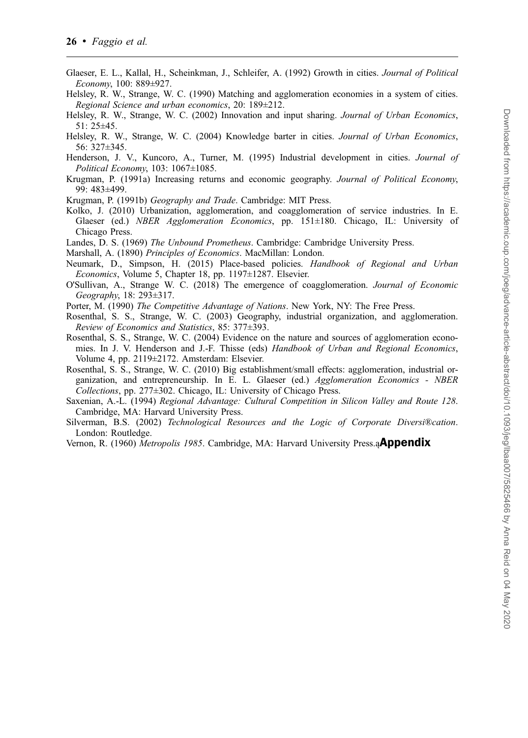- <span id="page-25-0"></span>Glaeser, E. L., Kallal, H., Scheinkman, J., Schleifer, A. (1992) Growth in cities. Journal of Political Economy, 100: 889±927.
- Helsley, R. W., Strange, W. C. (1990) Matching and agglomeration economies in a system of cities. Regional Science and urban economics, 20: 189±212.
- Helsley, R. W., Strange, W. C. (2002) Innovation and input sharing. Journal of Urban Economics, 51: 25±45.
- Helsley, R. W., Strange, W. C. (2004) Knowledge barter in cities. Journal of Urban Economics, 56: 327±345.
- Henderson, J. V., Kuncoro, A., Turner, M. (1995) Industrial development in cities. Journal of Political Economy, 103: 1067±1085.
- Krugman, P. (1991a) Increasing returns and economic geography. Journal of Political Economy, 99: 483±499.
- Krugman, P. (1991b) Geography and Trade. Cambridge: MIT Press.
- Kolko, J. (2010) Urbanization, agglomeration, and coagglomeration of service industries. In E. Glaeser (ed.) NBER Agglomeration Economics, pp. 151±180. Chicago, IL: University of Chicago Press.
- Landes, D. S. (1969) The Unbound Prometheus. Cambridge: Cambridge University Press.
- Marshall, A. (1890) Principles of Economics. MacMillan: London.
- Neumark, D., Simpson, H. (2015) Place-based policies. Handbook of Regional and Urban Economics, Volume 5, Chapter 18, pp. 1197±1287. Elsevier.
- O'Sullivan, A., Strange W. C. (2018) The emergence of coagglomeration. Journal of Economic Geography, 18: 293±317.
- Porter, M. (1990) The Competitive Advantage of Nations. New York, NY: The Free Press.
- Rosenthal, S. S., Strange, W. C. (2003) Geography, industrial organization, and agglomeration. Review of Economics and Statistics, 85: 377±393.
- Rosenthal, S. S., Strange, W. C. (2004) Evidence on the nature and sources of agglomeration economies. In J. V. Henderson and J.-F. Thisse (eds) Handbook of Urban and Regional Economics, Volume 4, pp. 2119±2172. Amsterdam: Elsevier.
- Rosenthal, S. S., Strange, W. C. (2010) Big establishment/small effects: agglomeration, industrial organization, and entrepreneurship. In E. L. Glaeser (ed.) Agglomeration Economics - NBER Collections, pp. 277±302. Chicago, IL: University of Chicago Press.
- Saxenian, A.-L. (1994) Regional Advantage: Cultural Competition in Silicon Valley and Route 128. Cambridge, MA: Harvard University Press.
- Silverman, B.S. (2002) Technological Resources and the Logic of Corporate Diversi®cation. London: Routledge.
- Vernon, R. (1960) Metropolis 1985. Cambridge, MA: Harvard University Press.a**Appendix**